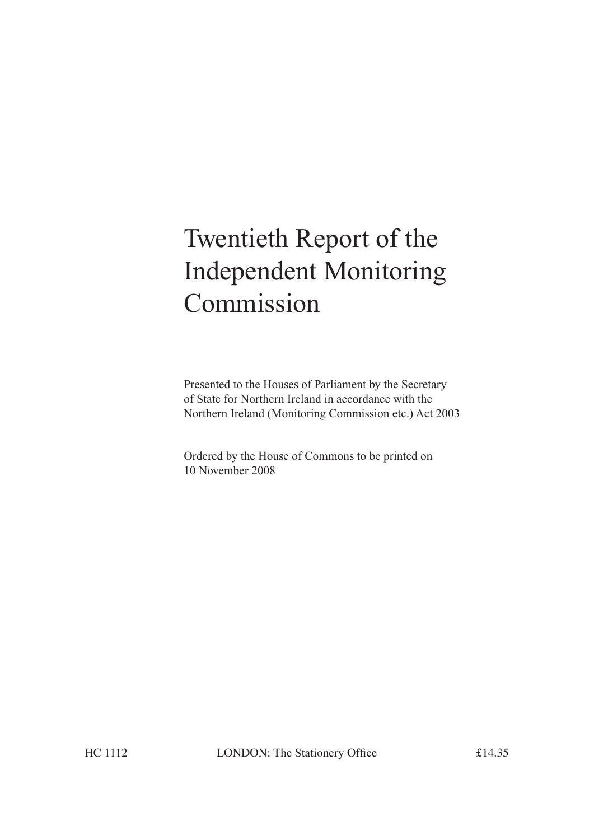# Twentieth Report of the Independent Monitoring Commission

Presented to the Houses of Parliament by the Secretary of State for Northern Ireland in accordance with the Northern Ireland (Monitoring Commission etc.) Act 2003

Ordered by the House of Commons to be printed on 10 November 2008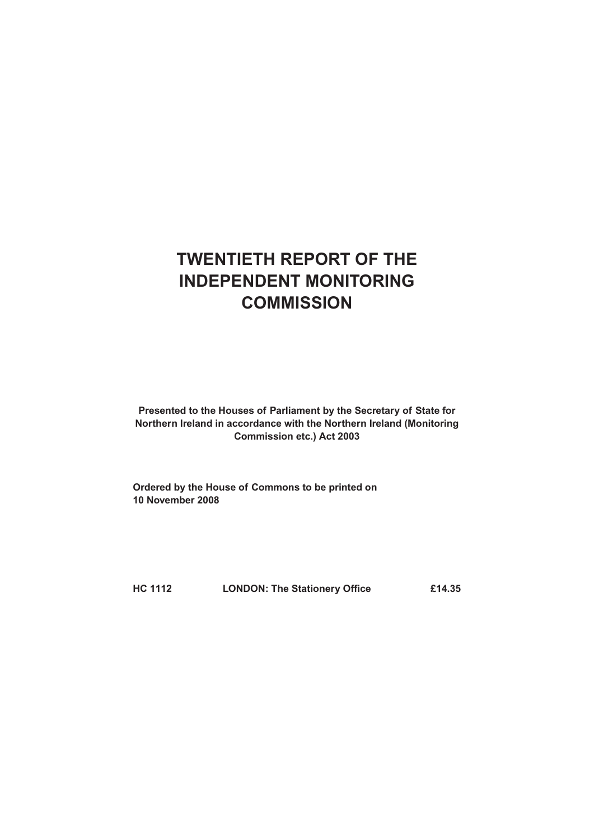# **TWENTIETH REPORT OF THE INDEPENDENT MONITORING COMMISSION**

**Presented to the Houses of Parliament by the Secretary of State for Northern Ireland in accordance with the Northern Ireland (Monitoring Commission etc.) Act 2003**

**Ordered by the House of Commons to be printed on 10 November 2008**

**HC 1112 LONDON: The Stationery Office £14.35**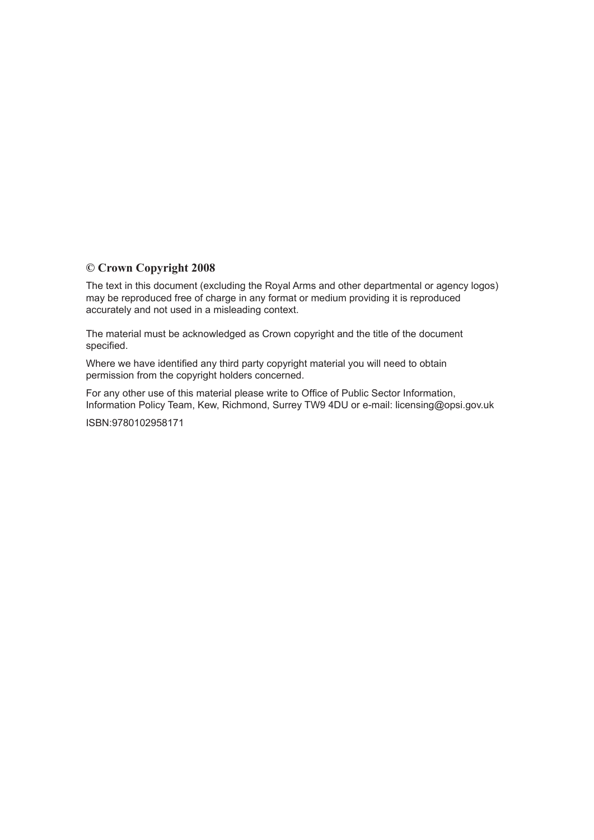#### **© Crown Copyright 2008**

The text in this document (excluding the Royal Arms and other departmental or agency logos) may be reproduced free of charge in any format or medium providing it is reproduced accurately and not used in a misleading context.

The material must be acknowledged as Crown copyright and the title of the document specified.

Where we have identified any third party copyright material you will need to obtain permission from the copyright holders concerned.

For any other use of this material please write to Office of Public Sector Information, Information Policy Team, Kew, Richmond, Surrey TW9 4DU or e-mail: licensing@opsi.gov.uk

ISBN:9780102958171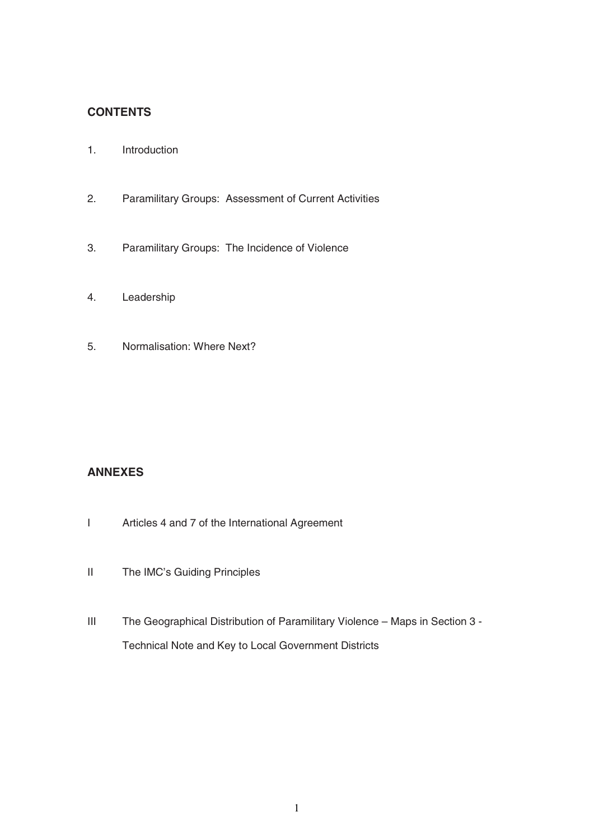# **CONTENTS**

- 1. Introduction
- 2. Paramilitary Groups: Assessment of Current Activities
- 3. Paramilitary Groups: The Incidence of Violence
- 4. Leadership
- 5. Normalisation: Where Next?

#### **ANNEXES**

- I Articles 4 and 7 of the International Agreement
- II The IMC's Guiding Principles
- III The Geographical Distribution of Paramilitary Violence Maps in Section 3 Technical Note and Key to Local Government Districts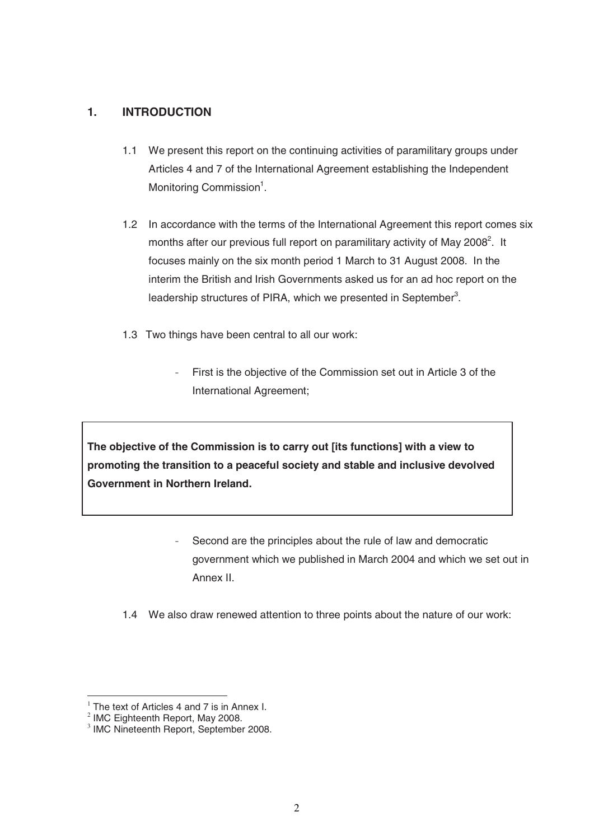## **1. INTRODUCTION**

- 1.1 We present this report on the continuing activities of paramilitary groups under Articles 4 and 7 of the International Agreement establishing the Independent Monitoring Commission<sup>1</sup>.
- 1.2 In accordance with the terms of the International Agreement this report comes six months after our previous full report on paramilitary activity of May 2008<sup>2</sup>. It focuses mainly on the six month period 1 March to 31 August 2008. In the interim the British and Irish Governments asked us for an ad hoc report on the leadership structures of PIRA, which we presented in September<sup>3</sup>.
- 1.3 Two things have been central to all our work:
	- First is the objective of the Commission set out in Article 3 of the International Agreement;

**The objective of the Commission is to carry out [its functions] with a view to promoting the transition to a peaceful society and stable and inclusive devolved Government in Northern Ireland.** 

- Second are the principles about the rule of law and democratic government which we published in March 2004 and which we set out in Annex II.
- 1.4 We also draw renewed attention to three points about the nature of our work:

<sup>-</sup> $1$  The text of Articles 4 and 7 is in Annex I.

 $2$  IMC Eighteenth Report, May 2008.

 $3$  IMC Nineteenth Report, September 2008.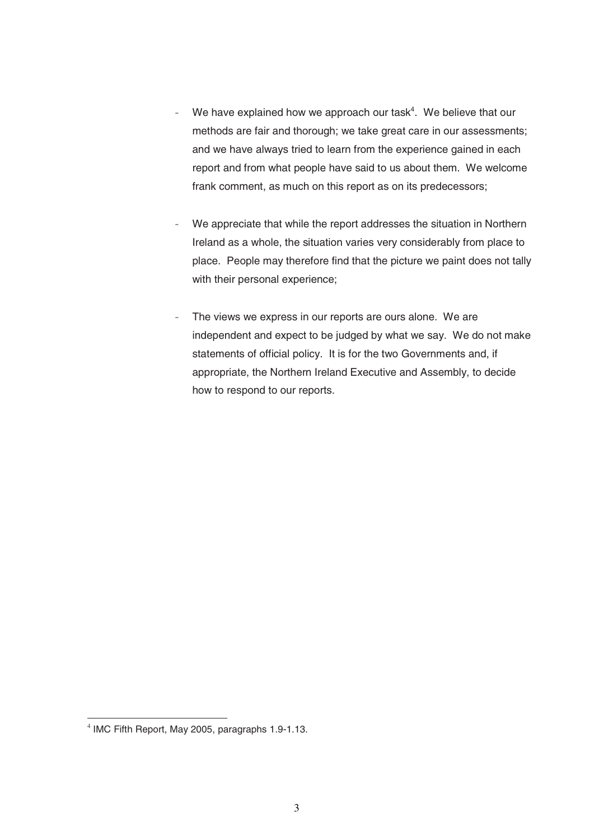- We have explained how we approach our task<sup>4</sup>. We believe that our methods are fair and thorough; we take great care in our assessments; and we have always tried to learn from the experience gained in each report and from what people have said to us about them. We welcome frank comment, as much on this report as on its predecessors;
- We appreciate that while the report addresses the situation in Northern Ireland as a whole, the situation varies very considerably from place to place. People may therefore find that the picture we paint does not tally with their personal experience;
- The views we express in our reports are ours alone. We are independent and expect to be judged by what we say. We do not make statements of official policy. It is for the two Governments and, if appropriate, the Northern Ireland Executive and Assembly, to decide how to respond to our reports.

<sup>-</sup> $4$  IMC Fifth Report, May 2005, paragraphs 1.9-1.13.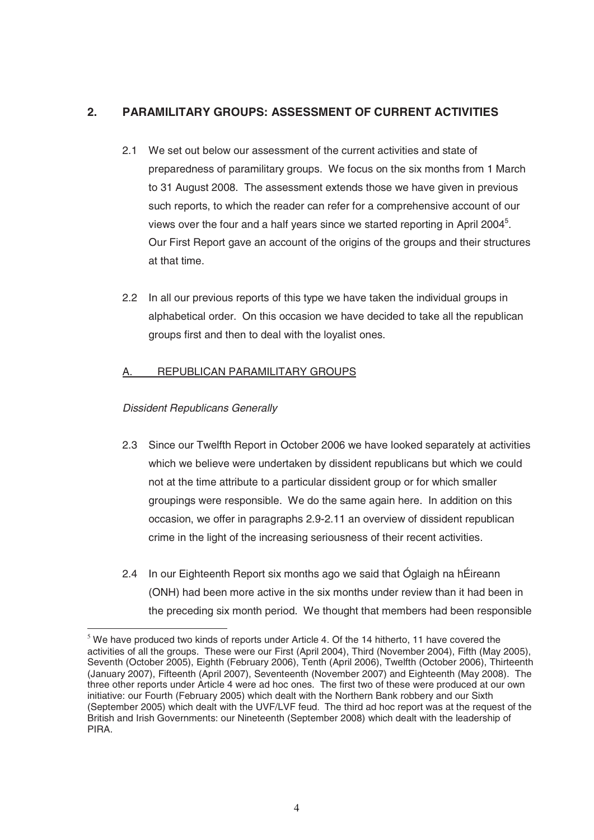# **2. PARAMILITARY GROUPS: ASSESSMENT OF CURRENT ACTIVITIES**

- 2.1 We set out below our assessment of the current activities and state of preparedness of paramilitary groups. We focus on the six months from 1 March to 31 August 2008. The assessment extends those we have given in previous such reports, to which the reader can refer for a comprehensive account of our views over the four and a half years since we started reporting in April 2004 $<sup>5</sup>$ .</sup> Our First Report gave an account of the origins of the groups and their structures at that time.
- 2.2 In all our previous reports of this type we have taken the individual groups in alphabetical order. On this occasion we have decided to take all the republican groups first and then to deal with the loyalist ones.

## A. REPUBLICAN PARAMILITARY GROUPS

#### Dissident Republicans Generally

- 2.3 Since our Twelfth Report in October 2006 we have looked separately at activities which we believe were undertaken by dissident republicans but which we could not at the time attribute to a particular dissident group or for which smaller groupings were responsible. We do the same again here. In addition on this occasion, we offer in paragraphs 2.9-2.11 an overview of dissident republican crime in the light of the increasing seriousness of their recent activities.
- 2.4 In our Eighteenth Report six months ago we said that Óglaigh na hÉireann (ONH) had been more active in the six months under review than it had been in the preceding six month period. We thought that members had been responsible

<sup>-</sup> $<sup>5</sup>$  We have produced two kinds of reports under Article 4. Of the 14 hitherto, 11 have covered the</sup> activities of all the groups. These were our First (April 2004), Third (November 2004), Fifth (May 2005), Seventh (October 2005), Eighth (February 2006), Tenth (April 2006), Twelfth (October 2006), Thirteenth (January 2007), Fifteenth (April 2007), Seventeenth (November 2007) and Eighteenth (May 2008). The three other reports under Article 4 were ad hoc ones. The first two of these were produced at our own initiative: our Fourth (February 2005) which dealt with the Northern Bank robbery and our Sixth (September 2005) which dealt with the UVF/LVF feud. The third ad hoc report was at the request of the British and Irish Governments: our Nineteenth (September 2008) which dealt with the leadership of PIRA.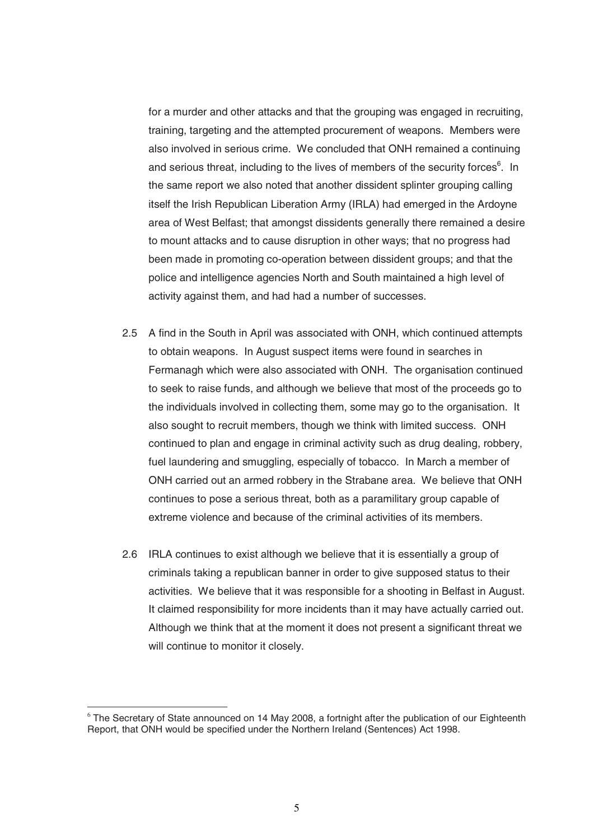for a murder and other attacks and that the grouping was engaged in recruiting, training, targeting and the attempted procurement of weapons. Members were also involved in serious crime. We concluded that ONH remained a continuing and serious threat, including to the lives of members of the security forces<sup>6</sup>. In the same report we also noted that another dissident splinter grouping calling itself the Irish Republican Liberation Army (IRLA) had emerged in the Ardoyne area of West Belfast; that amongst dissidents generally there remained a desire to mount attacks and to cause disruption in other ways; that no progress had been made in promoting co-operation between dissident groups; and that the police and intelligence agencies North and South maintained a high level of activity against them, and had had a number of successes.

- 2.5 A find in the South in April was associated with ONH, which continued attempts to obtain weapons. In August suspect items were found in searches in Fermanagh which were also associated with ONH. The organisation continued to seek to raise funds, and although we believe that most of the proceeds go to the individuals involved in collecting them, some may go to the organisation. It also sought to recruit members, though we think with limited success. ONH continued to plan and engage in criminal activity such as drug dealing, robbery, fuel laundering and smuggling, especially of tobacco. In March a member of ONH carried out an armed robbery in the Strabane area. We believe that ONH continues to pose a serious threat, both as a paramilitary group capable of extreme violence and because of the criminal activities of its members.
- 2.6 IRLA continues to exist although we believe that it is essentially a group of criminals taking a republican banner in order to give supposed status to their activities. We believe that it was responsible for a shooting in Belfast in August. It claimed responsibility for more incidents than it may have actually carried out. Although we think that at the moment it does not present a significant threat we will continue to monitor it closely.

-

<sup>&</sup>lt;sup>6</sup> The Secretary of State announced on 14 May 2008, a fortnight after the publication of our Eighteenth Report, that ONH would be specified under the Northern Ireland (Sentences) Act 1998.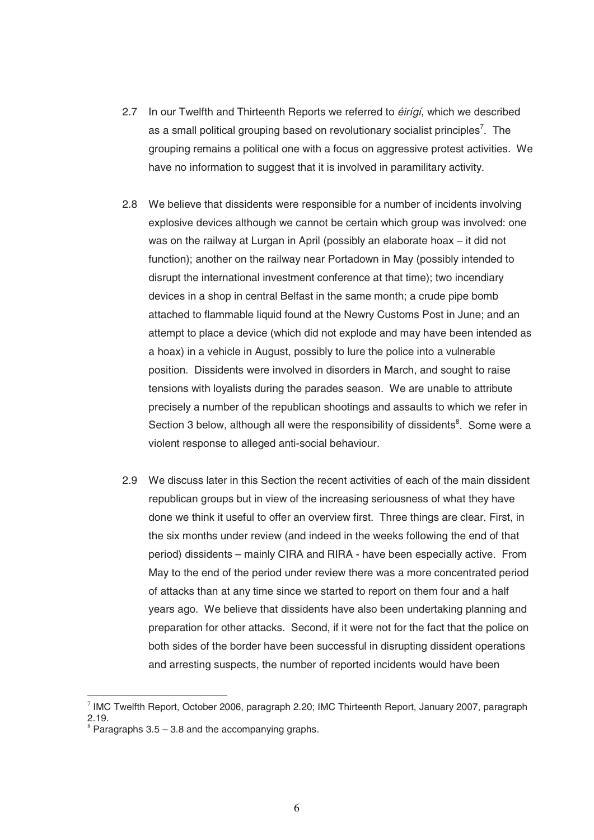- 2.7 In our Twelfth and Thirteenth Reports we referred to *éirígí*, which we described as a small political grouping based on revolutionary socialist principles<sup>7</sup>. The grouping remains a political one with a focus on aggressive protest activities. We have no information to suggest that it is involved in paramilitary activity.
- 2.8 We believe that dissidents were responsible for a number of incidents involving explosive devices although we cannot be certain which group was involved: one was on the railway at Lurgan in April (possibly an elaborate hoax – it did not function); another on the railway near Portadown in May (possibly intended to disrupt the international investment conference at that time); two incendiary devices in a shop in central Belfast in the same month; a crude pipe bomb attached to flammable liquid found at the Newry Customs Post in June; and an attempt to place a device (which did not explode and may have been intended as a hoax) in a vehicle in August, possibly to lure the police into a vulnerable position. Dissidents were involved in disorders in March, and sought to raise tensions with loyalists during the parades season. We are unable to attribute precisely a number of the republican shootings and assaults to which we refer in Section 3 below, although all were the responsibility of dissidents<sup>8</sup>. Some were a violent response to alleged anti-social behaviour.
- 2.9 We discuss later in this Section the recent activities of each of the main dissident republican groups but in view of the increasing seriousness of what they have done we think it useful to offer an overview first. Three things are clear. First, in the six months under review (and indeed in the weeks following the end of that period) dissidents – mainly CIRA and RIRA - have been especially active. From May to the end of the period under review there was a more concentrated period of attacks than at any time since we started to report on them four and a half years ago. We believe that dissidents have also been undertaking planning and preparation for other attacks. Second, if it were not for the fact that the police on both sides of the border have been successful in disrupting dissident operations and arresting suspects, the number of reported incidents would have been

<sup>-</sup> $^7$  IMC Twelfth Report, October 2006, paragraph 2.20; IMC Thirteenth Report, January 2007, paragraph 2.19.

 $8$  Paragraphs 3.5 – 3.8 and the accompanying graphs.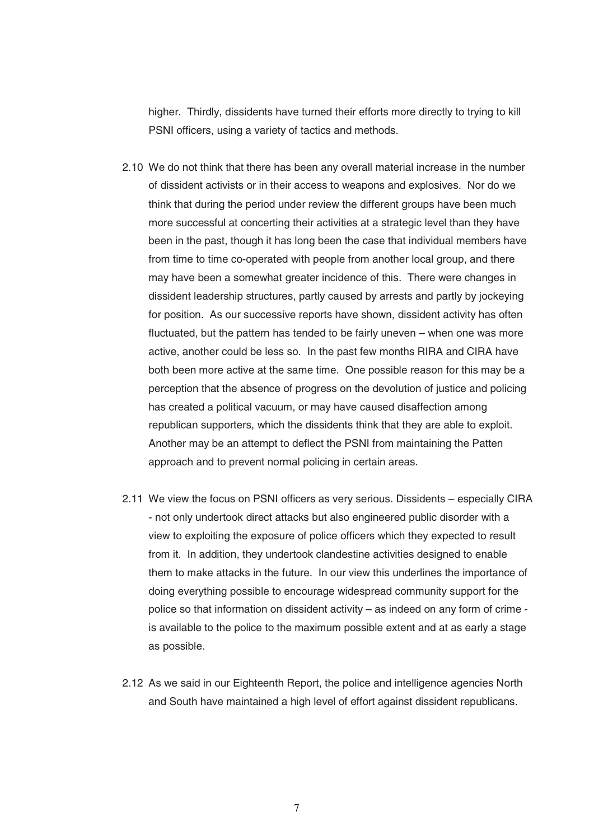higher. Thirdly, dissidents have turned their efforts more directly to trying to kill PSNI officers, using a variety of tactics and methods.

- 2.10 We do not think that there has been any overall material increase in the number of dissident activists or in their access to weapons and explosives. Nor do we think that during the period under review the different groups have been much more successful at concerting their activities at a strategic level than they have been in the past, though it has long been the case that individual members have from time to time co-operated with people from another local group, and there may have been a somewhat greater incidence of this. There were changes in dissident leadership structures, partly caused by arrests and partly by jockeying for position. As our successive reports have shown, dissident activity has often fluctuated, but the pattern has tended to be fairly uneven – when one was more active, another could be less so. In the past few months RIRA and CIRA have both been more active at the same time. One possible reason for this may be a perception that the absence of progress on the devolution of justice and policing has created a political vacuum, or may have caused disaffection among republican supporters, which the dissidents think that they are able to exploit. Another may be an attempt to deflect the PSNI from maintaining the Patten approach and to prevent normal policing in certain areas.
- 2.11 We view the focus on PSNI officers as very serious. Dissidents especially CIRA - not only undertook direct attacks but also engineered public disorder with a view to exploiting the exposure of police officers which they expected to result from it. In addition, they undertook clandestine activities designed to enable them to make attacks in the future. In our view this underlines the importance of doing everything possible to encourage widespread community support for the police so that information on dissident activity – as indeed on any form of crime is available to the police to the maximum possible extent and at as early a stage as possible.
- 2.12 As we said in our Eighteenth Report, the police and intelligence agencies North and South have maintained a high level of effort against dissident republicans.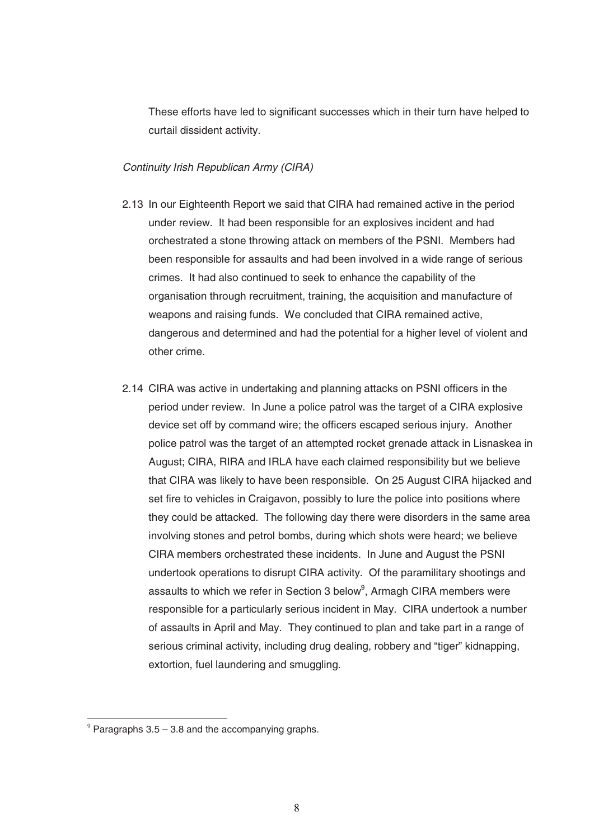These efforts have led to significant successes which in their turn have helped to curtail dissident activity.

#### Continuity Irish Republican Army (CIRA)

- 2.13 In our Eighteenth Report we said that CIRA had remained active in the period under review. It had been responsible for an explosives incident and had orchestrated a stone throwing attack on members of the PSNI. Members had been responsible for assaults and had been involved in a wide range of serious crimes. It had also continued to seek to enhance the capability of the organisation through recruitment, training, the acquisition and manufacture of weapons and raising funds. We concluded that CIRA remained active, dangerous and determined and had the potential for a higher level of violent and other crime.
- 2.14 CIRA was active in undertaking and planning attacks on PSNI officers in the period under review. In June a police patrol was the target of a CIRA explosive device set off by command wire; the officers escaped serious injury. Another police patrol was the target of an attempted rocket grenade attack in Lisnaskea in August; CIRA, RIRA and IRLA have each claimed responsibility but we believe that CIRA was likely to have been responsible. On 25 August CIRA hijacked and set fire to vehicles in Craigavon, possibly to lure the police into positions where they could be attacked. The following day there were disorders in the same area involving stones and petrol bombs, during which shots were heard; we believe CIRA members orchestrated these incidents. In June and August the PSNI undertook operations to disrupt CIRA activity. Of the paramilitary shootings and assaults to which we refer in Section 3 below<sup>9</sup>, Armagh CIRA members were responsible for a particularly serious incident in May. CIRA undertook a number of assaults in April and May. They continued to plan and take part in a range of serious criminal activity, including drug dealing, robbery and "tiger" kidnapping, extortion, fuel laundering and smuggling.

<sup>-</sup> $9$  Paragraphs 3.5 – 3.8 and the accompanying graphs.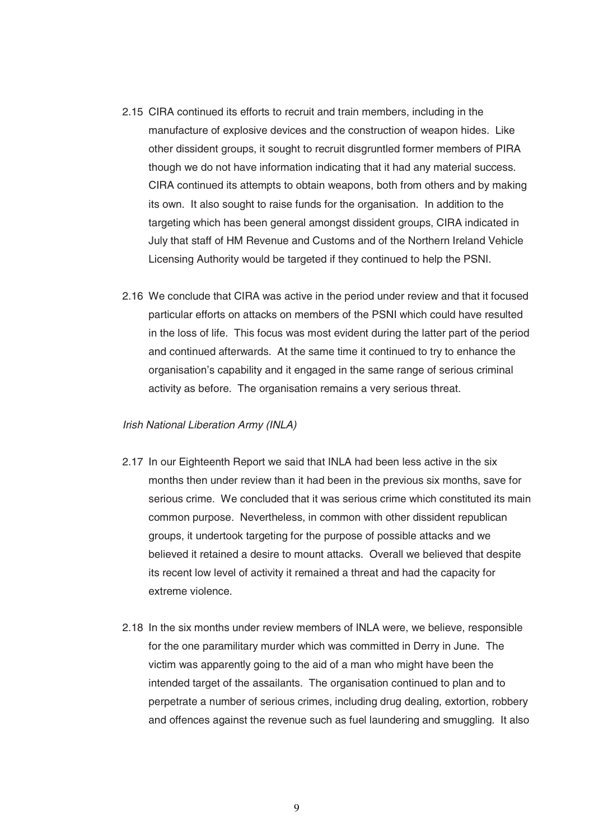- 2.15 CIRA continued its efforts to recruit and train members, including in the manufacture of explosive devices and the construction of weapon hides. Like other dissident groups, it sought to recruit disgruntled former members of PIRA though we do not have information indicating that it had any material success. CIRA continued its attempts to obtain weapons, both from others and by making its own. It also sought to raise funds for the organisation. In addition to the targeting which has been general amongst dissident groups, CIRA indicated in July that staff of HM Revenue and Customs and of the Northern Ireland Vehicle Licensing Authority would be targeted if they continued to help the PSNI.
- 2.16 We conclude that CIRA was active in the period under review and that it focused particular efforts on attacks on members of the PSNI which could have resulted in the loss of life. This focus was most evident during the latter part of the period and continued afterwards. At the same time it continued to try to enhance the organisation's capability and it engaged in the same range of serious criminal activity as before. The organisation remains a very serious threat.

#### Irish National Liberation Army (INLA)

- 2.17 In our Eighteenth Report we said that INLA had been less active in the six months then under review than it had been in the previous six months, save for serious crime. We concluded that it was serious crime which constituted its main common purpose. Nevertheless, in common with other dissident republican groups, it undertook targeting for the purpose of possible attacks and we believed it retained a desire to mount attacks. Overall we believed that despite its recent low level of activity it remained a threat and had the capacity for extreme violence.
- 2.18 In the six months under review members of INLA were, we believe, responsible for the one paramilitary murder which was committed in Derry in June. The victim was apparently going to the aid of a man who might have been the intended target of the assailants. The organisation continued to plan and to perpetrate a number of serious crimes, including drug dealing, extortion, robbery and offences against the revenue such as fuel laundering and smuggling. It also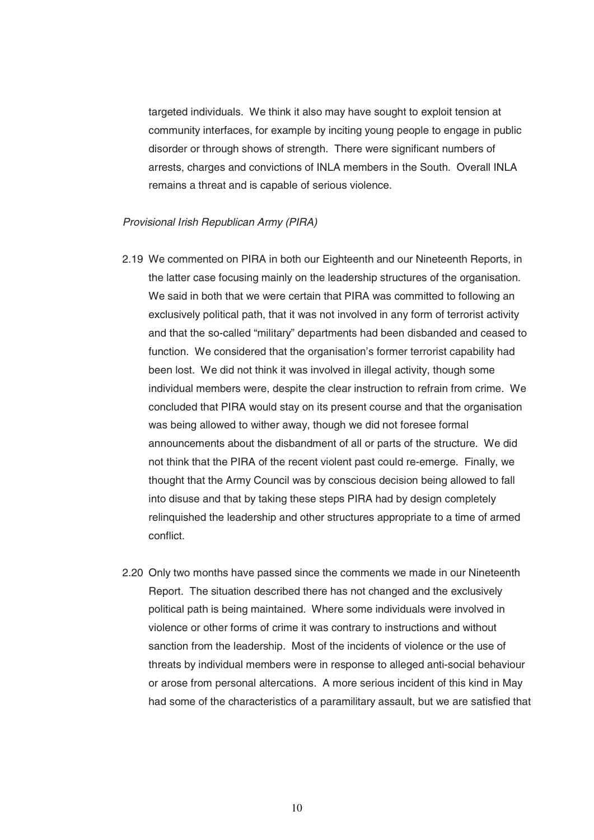targeted individuals. We think it also may have sought to exploit tension at community interfaces, for example by inciting young people to engage in public disorder or through shows of strength. There were significant numbers of arrests, charges and convictions of INLA members in the South. Overall INLA remains a threat and is capable of serious violence.

#### Provisional Irish Republican Army (PIRA)

- 2.19 We commented on PIRA in both our Eighteenth and our Nineteenth Reports, in the latter case focusing mainly on the leadership structures of the organisation. We said in both that we were certain that PIRA was committed to following an exclusively political path, that it was not involved in any form of terrorist activity and that the so-called "military" departments had been disbanded and ceased to function. We considered that the organisation's former terrorist capability had been lost. We did not think it was involved in illegal activity, though some individual members were, despite the clear instruction to refrain from crime. We concluded that PIRA would stay on its present course and that the organisation was being allowed to wither away, though we did not foresee formal announcements about the disbandment of all or parts of the structure. We did not think that the PIRA of the recent violent past could re-emerge. Finally, we thought that the Army Council was by conscious decision being allowed to fall into disuse and that by taking these steps PIRA had by design completely relinquished the leadership and other structures appropriate to a time of armed conflict.
- 2.20 Only two months have passed since the comments we made in our Nineteenth Report. The situation described there has not changed and the exclusively political path is being maintained. Where some individuals were involved in violence or other forms of crime it was contrary to instructions and without sanction from the leadership. Most of the incidents of violence or the use of threats by individual members were in response to alleged anti-social behaviour or arose from personal altercations. A more serious incident of this kind in May had some of the characteristics of a paramilitary assault, but we are satisfied that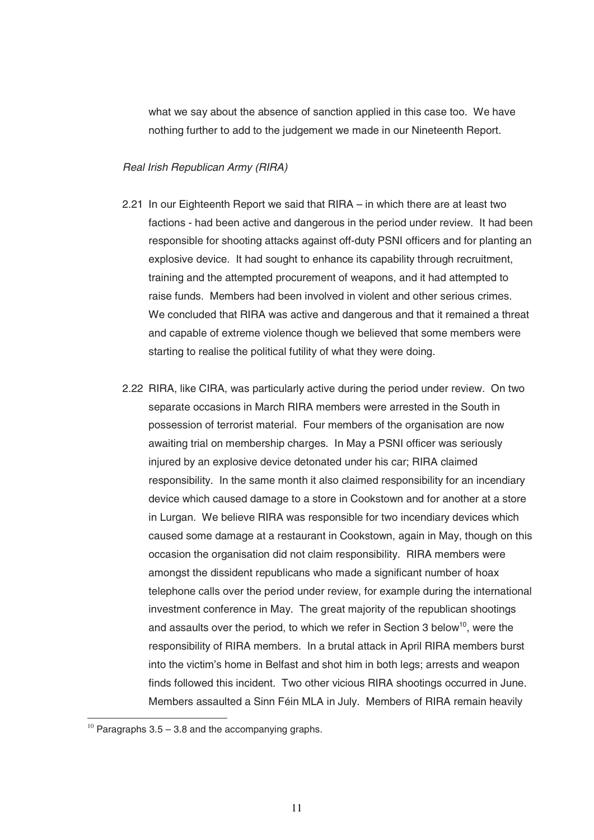what we say about the absence of sanction applied in this case too. We have nothing further to add to the judgement we made in our Nineteenth Report.

#### Real Irish Republican Army (RIRA)

- 2.21 In our Eighteenth Report we said that RIRA in which there are at least two factions - had been active and dangerous in the period under review. It had been responsible for shooting attacks against off-duty PSNI officers and for planting an explosive device. It had sought to enhance its capability through recruitment, training and the attempted procurement of weapons, and it had attempted to raise funds. Members had been involved in violent and other serious crimes. We concluded that RIRA was active and dangerous and that it remained a threat and capable of extreme violence though we believed that some members were starting to realise the political futility of what they were doing.
- 2.22 RIRA, like CIRA, was particularly active during the period under review. On two separate occasions in March RIRA members were arrested in the South in possession of terrorist material. Four members of the organisation are now awaiting trial on membership charges. In May a PSNI officer was seriously injured by an explosive device detonated under his car; RIRA claimed responsibility. In the same month it also claimed responsibility for an incendiary device which caused damage to a store in Cookstown and for another at a store in Lurgan. We believe RIRA was responsible for two incendiary devices which caused some damage at a restaurant in Cookstown, again in May, though on this occasion the organisation did not claim responsibility. RIRA members were amongst the dissident republicans who made a significant number of hoax telephone calls over the period under review, for example during the international investment conference in May. The great majority of the republican shootings and assaults over the period, to which we refer in Section 3 below<sup>10</sup>, were the responsibility of RIRA members. In a brutal attack in April RIRA members burst into the victim's home in Belfast and shot him in both legs; arrests and weapon finds followed this incident. Two other vicious RIRA shootings occurred in June. Members assaulted a Sinn Féin MLA in July. Members of RIRA remain heavily

-

 $10$  Paragraphs 3.5 – 3.8 and the accompanying graphs.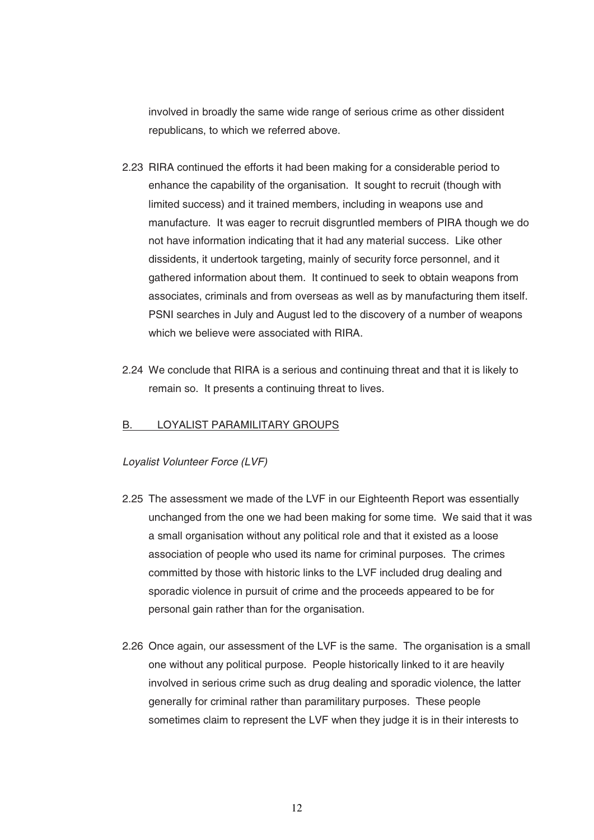involved in broadly the same wide range of serious crime as other dissident republicans, to which we referred above.

- 2.23 RIRA continued the efforts it had been making for a considerable period to enhance the capability of the organisation. It sought to recruit (though with limited success) and it trained members, including in weapons use and manufacture. It was eager to recruit disgruntled members of PIRA though we do not have information indicating that it had any material success. Like other dissidents, it undertook targeting, mainly of security force personnel, and it gathered information about them. It continued to seek to obtain weapons from associates, criminals and from overseas as well as by manufacturing them itself. PSNI searches in July and August led to the discovery of a number of weapons which we believe were associated with RIRA.
- 2.24 We conclude that RIRA is a serious and continuing threat and that it is likely to remain so. It presents a continuing threat to lives.

#### B. LOYALIST PARAMILITARY GROUPS

#### Loyalist Volunteer Force (LVF)

- 2.25 The assessment we made of the LVF in our Eighteenth Report was essentially unchanged from the one we had been making for some time. We said that it was a small organisation without any political role and that it existed as a loose association of people who used its name for criminal purposes. The crimes committed by those with historic links to the LVF included drug dealing and sporadic violence in pursuit of crime and the proceeds appeared to be for personal gain rather than for the organisation.
- 2.26 Once again, our assessment of the LVF is the same. The organisation is a small one without any political purpose. People historically linked to it are heavily involved in serious crime such as drug dealing and sporadic violence, the latter generally for criminal rather than paramilitary purposes. These people sometimes claim to represent the LVF when they judge it is in their interests to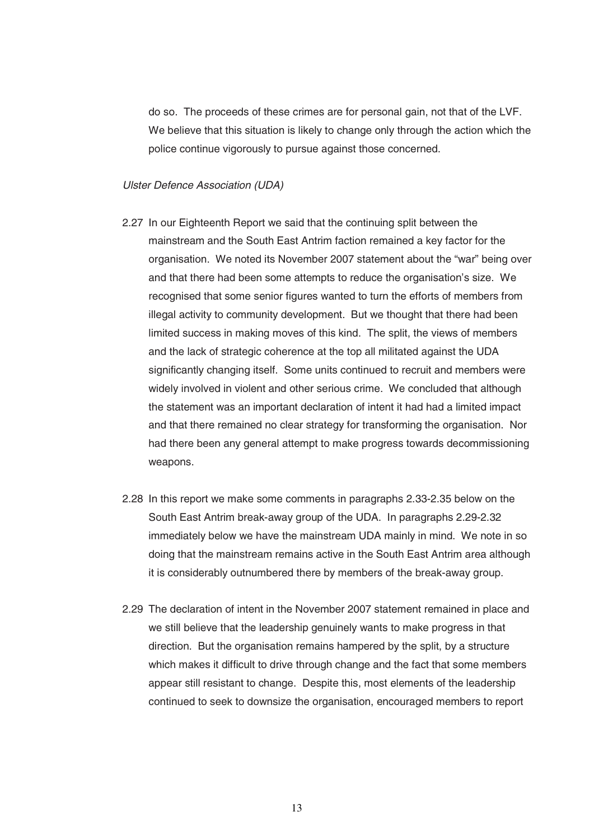do so. The proceeds of these crimes are for personal gain, not that of the LVF. We believe that this situation is likely to change only through the action which the police continue vigorously to pursue against those concerned.

#### Ulster Defence Association (UDA)

- 2.27 In our Eighteenth Report we said that the continuing split between the mainstream and the South East Antrim faction remained a key factor for the organisation. We noted its November 2007 statement about the "war" being over and that there had been some attempts to reduce the organisation's size. We recognised that some senior figures wanted to turn the efforts of members from illegal activity to community development. But we thought that there had been limited success in making moves of this kind. The split, the views of members and the lack of strategic coherence at the top all militated against the UDA significantly changing itself. Some units continued to recruit and members were widely involved in violent and other serious crime. We concluded that although the statement was an important declaration of intent it had had a limited impact and that there remained no clear strategy for transforming the organisation. Nor had there been any general attempt to make progress towards decommissioning weapons.
- 2.28 In this report we make some comments in paragraphs 2.33-2.35 below on the South East Antrim break-away group of the UDA. In paragraphs 2.29-2.32 immediately below we have the mainstream UDA mainly in mind. We note in so doing that the mainstream remains active in the South East Antrim area although it is considerably outnumbered there by members of the break-away group.
- 2.29 The declaration of intent in the November 2007 statement remained in place and we still believe that the leadership genuinely wants to make progress in that direction. But the organisation remains hampered by the split, by a structure which makes it difficult to drive through change and the fact that some members appear still resistant to change. Despite this, most elements of the leadership continued to seek to downsize the organisation, encouraged members to report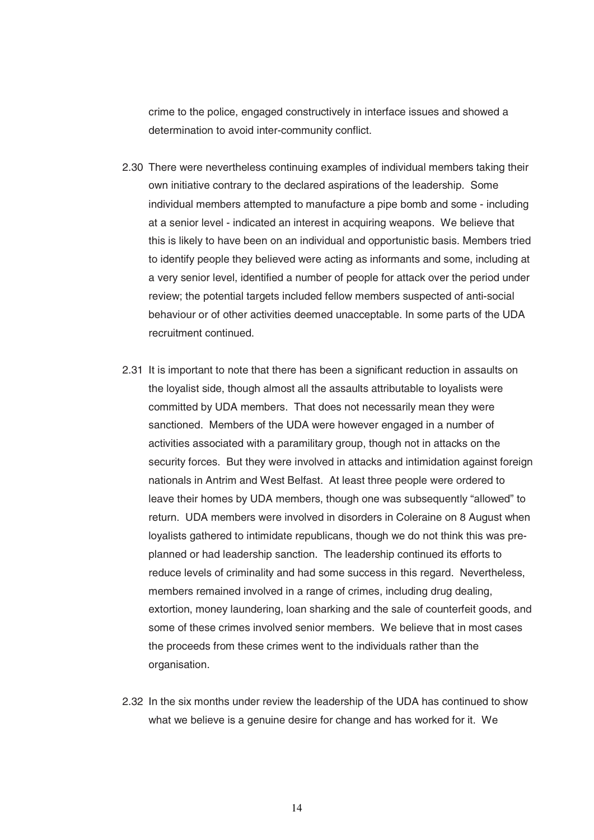crime to the police, engaged constructively in interface issues and showed a determination to avoid inter-community conflict.

- 2.30 There were nevertheless continuing examples of individual members taking their own initiative contrary to the declared aspirations of the leadership. Some individual members attempted to manufacture a pipe bomb and some - including at a senior level - indicated an interest in acquiring weapons. We believe that this is likely to have been on an individual and opportunistic basis. Members tried to identify people they believed were acting as informants and some, including at a very senior level, identified a number of people for attack over the period under review; the potential targets included fellow members suspected of anti-social behaviour or of other activities deemed unacceptable. In some parts of the UDA recruitment continued.
- 2.31 It is important to note that there has been a significant reduction in assaults on the loyalist side, though almost all the assaults attributable to loyalists were committed by UDA members. That does not necessarily mean they were sanctioned. Members of the UDA were however engaged in a number of activities associated with a paramilitary group, though not in attacks on the security forces. But they were involved in attacks and intimidation against foreign nationals in Antrim and West Belfast. At least three people were ordered to leave their homes by UDA members, though one was subsequently "allowed" to return. UDA members were involved in disorders in Coleraine on 8 August when loyalists gathered to intimidate republicans, though we do not think this was preplanned or had leadership sanction. The leadership continued its efforts to reduce levels of criminality and had some success in this regard. Nevertheless, members remained involved in a range of crimes, including drug dealing, extortion, money laundering, loan sharking and the sale of counterfeit goods, and some of these crimes involved senior members. We believe that in most cases the proceeds from these crimes went to the individuals rather than the organisation.
- 2.32 In the six months under review the leadership of the UDA has continued to show what we believe is a genuine desire for change and has worked for it. We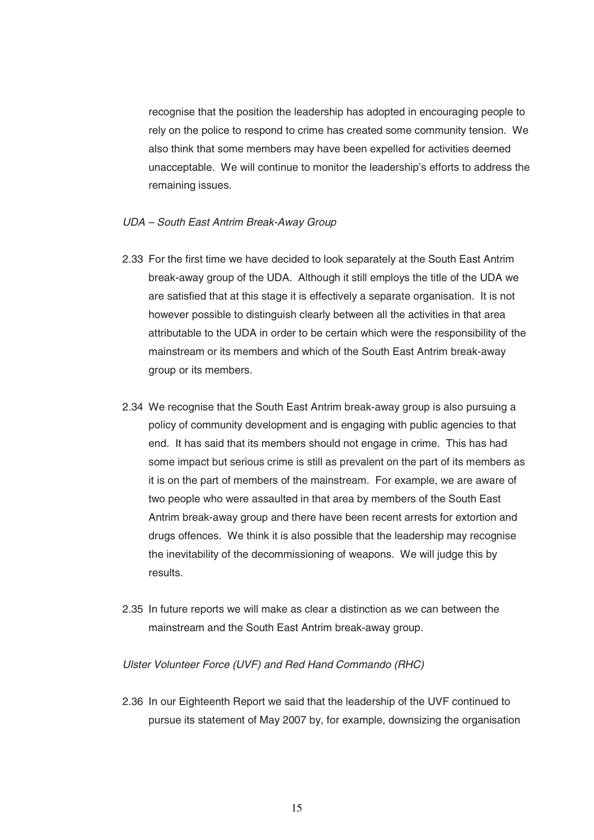recognise that the position the leadership has adopted in encouraging people to rely on the police to respond to crime has created some community tension. We also think that some members may have been expelled for activities deemed unacceptable. We will continue to monitor the leadership's efforts to address the remaining issues.

#### UDA – South East Antrim Break-Away Group

- 2.33 For the first time we have decided to look separately at the South East Antrim break-away group of the UDA. Although it still employs the title of the UDA we are satisfied that at this stage it is effectively a separate organisation. It is not however possible to distinguish clearly between all the activities in that area attributable to the UDA in order to be certain which were the responsibility of the mainstream or its members and which of the South East Antrim break-away group or its members.
- 2.34 We recognise that the South East Antrim break-away group is also pursuing a policy of community development and is engaging with public agencies to that end. It has said that its members should not engage in crime. This has had some impact but serious crime is still as prevalent on the part of its members as it is on the part of members of the mainstream. For example, we are aware of two people who were assaulted in that area by members of the South East Antrim break-away group and there have been recent arrests for extortion and drugs offences. We think it is also possible that the leadership may recognise the inevitability of the decommissioning of weapons. We will judge this by results.
- 2.35 In future reports we will make as clear a distinction as we can between the mainstream and the South East Antrim break-away group.

#### Ulster Volunteer Force (UVF) and Red Hand Commando (RHC)

2.36 In our Eighteenth Report we said that the leadership of the UVF continued to pursue its statement of May 2007 by, for example, downsizing the organisation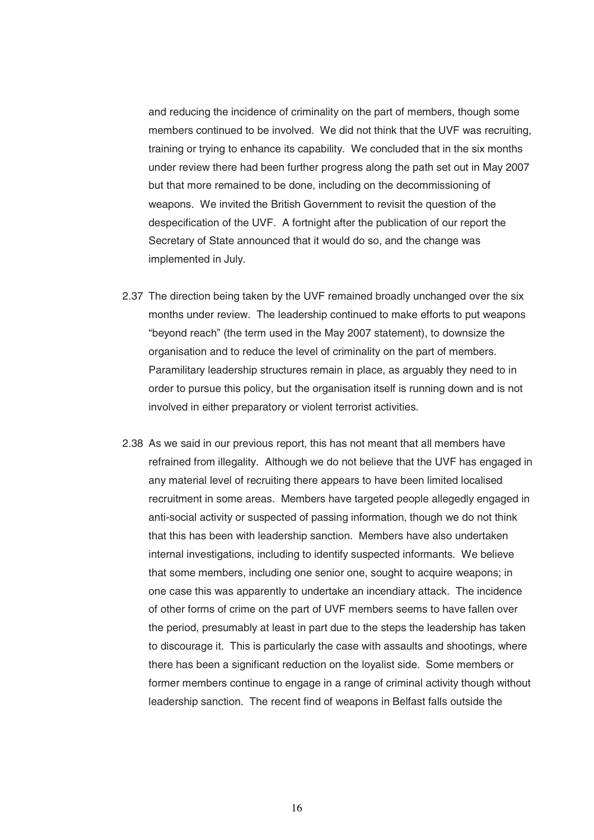and reducing the incidence of criminality on the part of members, though some members continued to be involved. We did not think that the UVF was recruiting, training or trying to enhance its capability. We concluded that in the six months under review there had been further progress along the path set out in May 2007 but that more remained to be done, including on the decommissioning of weapons. We invited the British Government to revisit the question of the despecification of the UVF. A fortnight after the publication of our report the Secretary of State announced that it would do so, and the change was implemented in July.

- 2.37 The direction being taken by the UVF remained broadly unchanged over the six months under review. The leadership continued to make efforts to put weapons "beyond reach" (the term used in the May 2007 statement), to downsize the organisation and to reduce the level of criminality on the part of members. Paramilitary leadership structures remain in place, as arguably they need to in order to pursue this policy, but the organisation itself is running down and is not involved in either preparatory or violent terrorist activities.
- 2.38 As we said in our previous report, this has not meant that all members have refrained from illegality. Although we do not believe that the UVF has engaged in any material level of recruiting there appears to have been limited localised recruitment in some areas. Members have targeted people allegedly engaged in anti-social activity or suspected of passing information, though we do not think that this has been with leadership sanction. Members have also undertaken internal investigations, including to identify suspected informants. We believe that some members, including one senior one, sought to acquire weapons; in one case this was apparently to undertake an incendiary attack. The incidence of other forms of crime on the part of UVF members seems to have fallen over the period, presumably at least in part due to the steps the leadership has taken to discourage it. This is particularly the case with assaults and shootings, where there has been a significant reduction on the loyalist side. Some members or former members continue to engage in a range of criminal activity though without leadership sanction. The recent find of weapons in Belfast falls outside the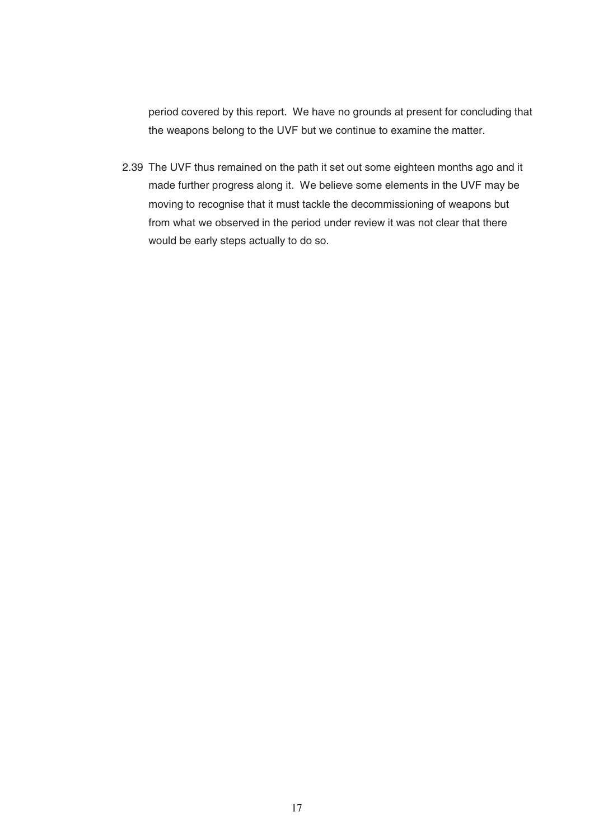period covered by this report. We have no grounds at present for concluding that the weapons belong to the UVF but we continue to examine the matter.

2.39 The UVF thus remained on the path it set out some eighteen months ago and it made further progress along it. We believe some elements in the UVF may be moving to recognise that it must tackle the decommissioning of weapons but from what we observed in the period under review it was not clear that there would be early steps actually to do so.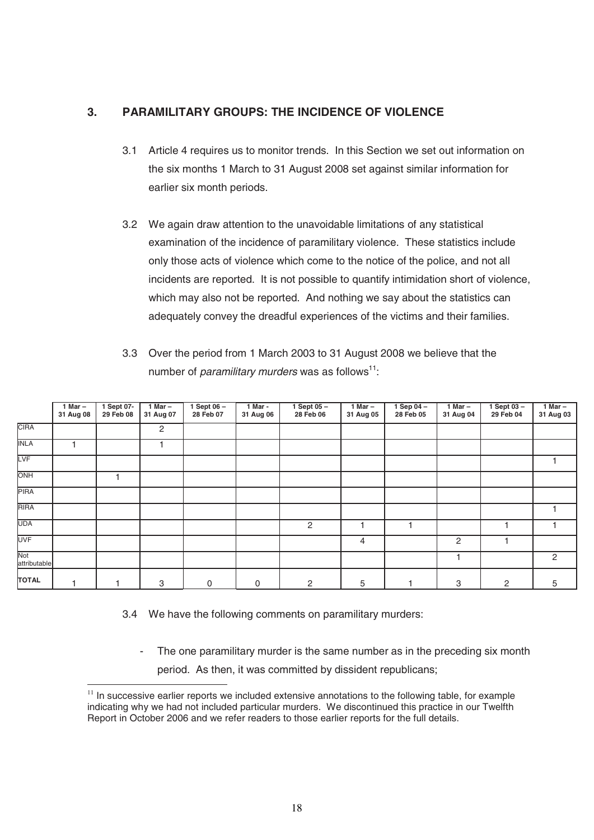# **3. PARAMILITARY GROUPS: THE INCIDENCE OF VIOLENCE**

- 3.1 Article 4 requires us to monitor trends. In this Section we set out information on the six months 1 March to 31 August 2008 set against similar information for earlier six month periods.
- 3.2 We again draw attention to the unavoidable limitations of any statistical examination of the incidence of paramilitary violence. These statistics include only those acts of violence which come to the notice of the police, and not all incidents are reported. It is not possible to quantify intimidation short of violence, which may also not be reported. And nothing we say about the statistics can adequately convey the dreadful experiences of the victims and their families.
- 3.3 Over the period from 1 March 2003 to 31 August 2008 we believe that the number of *paramilitary murders* was as follows<sup>11</sup>:

|                     | 1 Mar $-$<br>31 Aug 08 | 1 Sept 07-<br>29 Feb 08 | 1 Mar $-$<br>31 Aug 07 | 1 Sept 06 -<br>28 Feb 07 | 1 Mar -<br>31 Aug 06 | 1 Sept $05 -$<br>28 Feb 06 | 1 Mar $-$<br>31 Aug 05 | 1 Sep $04-$<br>28 Feb 05 | $1$ Mar $-$<br>31 Aug 04 | $1$ Sept 03 -<br>29 Feb 04 | $1$ Mar $-$<br>31 Aug 03 |
|---------------------|------------------------|-------------------------|------------------------|--------------------------|----------------------|----------------------------|------------------------|--------------------------|--------------------------|----------------------------|--------------------------|
| <b>CIRA</b>         |                        |                         | 2                      |                          |                      |                            |                        |                          |                          |                            |                          |
| <b>INLA</b>         |                        |                         |                        |                          |                      |                            |                        |                          |                          |                            |                          |
| LVF                 |                        |                         |                        |                          |                      |                            |                        |                          |                          |                            |                          |
| ONH                 |                        |                         |                        |                          |                      |                            |                        |                          |                          |                            |                          |
| <b>PIRA</b>         |                        |                         |                        |                          |                      |                            |                        |                          |                          |                            |                          |
| <b>RIRA</b>         |                        |                         |                        |                          |                      |                            |                        |                          |                          |                            |                          |
| <b>UDA</b>          |                        |                         |                        |                          |                      | 2                          |                        |                          |                          |                            |                          |
| <b>UVF</b>          |                        |                         |                        |                          |                      |                            | 4                      |                          | 2                        |                            |                          |
| Not<br>attributable |                        |                         |                        |                          |                      |                            |                        |                          |                          |                            | $\overline{c}$           |
| <b>TOTAL</b>        |                        |                         | 3                      | 0                        | 0                    | 2                          | 5                      |                          | 3                        | 2                          | 5                        |

3.4 We have the following comments on paramilitary murders:

-

- The one paramilitary murder is the same number as in the preceding six month
	- period. As then, it was committed by dissident republicans;

 $11$  In successive earlier reports we included extensive annotations to the following table, for example indicating why we had not included particular murders. We discontinued this practice in our Twelfth Report in October 2006 and we refer readers to those earlier reports for the full details.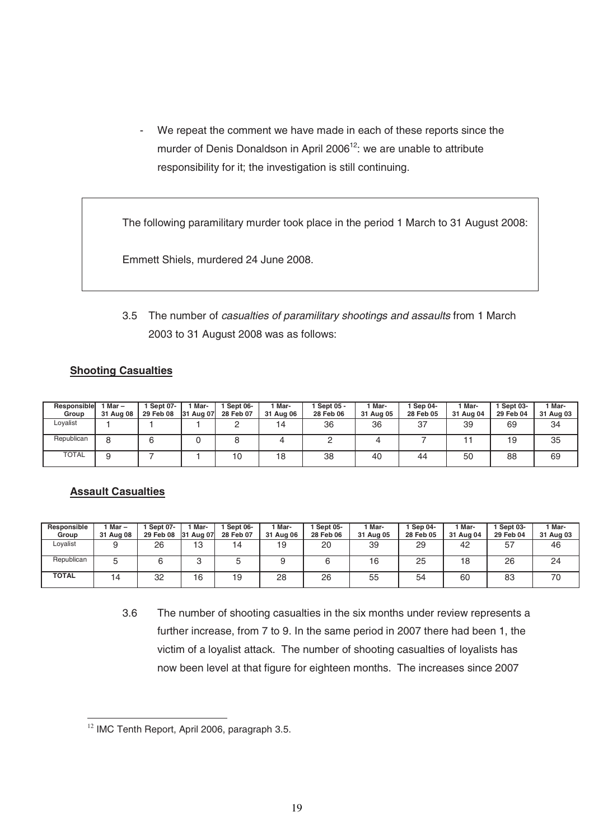- We repeat the comment we have made in each of these reports since the murder of Denis Donaldson in April 2006<sup>12</sup>: we are unable to attribute responsibility for it; the investigation is still continuing.

The following paramilitary murder took place in the period 1 March to 31 August 2008:

Emmett Shiels, murdered 24 June 2008.

3.5 The number of casualties of paramilitary shootings and assaults from 1 March 2003 to 31 August 2008 was as follows:

#### **Shooting Casualties**

| Responsible<br>Group | l Mar –<br>31 Aug 08 | Sept 07-<br>29 Feb 08 | Mar-<br>131<br>Aug 07 | Sept 06-<br>28 Feb 07 | Mar-<br>31 Aug 06 | Sept 05 -<br>28 Feb 06 | l Mar-<br>31 Aug 05 | Sep 04-<br>28 Feb 05 | Mar-<br>31 Aug 04 | Sept 03-<br>29 Feb 04 | Mar-<br>31 Aug 03 |
|----------------------|----------------------|-----------------------|-----------------------|-----------------------|-------------------|------------------------|---------------------|----------------------|-------------------|-----------------------|-------------------|
| Lovalist             |                      |                       |                       |                       | 14                | 36                     | 36                  | 37                   | 39                | 69                    | 34                |
| Republican           |                      |                       |                       |                       |                   |                        |                     |                      |                   | 19                    | 35                |
| <b>TOTAL</b>         |                      |                       |                       | 10                    | 18                | 38                     | 40                  | 44                   | 50                | 88                    | 69                |

#### **Assault Casualties**

| Responsible<br>Group | 1 Mar –<br>31 Aug 08 | <b>Sept 07-</b><br>29 Feb 08 | Mar-<br>31 Aug 07 | Sept 06-<br>28 Feb 07 | Mar-<br>31 Aug 06 | <b>Sept 05-</b><br>28 Feb 06 | <sup>1</sup> Mar-<br>31 Aug 05 | Sep 04-<br>28 Feb 05 | Mar-<br>31 Aug 04 | Sept 03-<br>29 Feb 04 | 1 Mar-<br>31 Aug 03 |
|----------------------|----------------------|------------------------------|-------------------|-----------------------|-------------------|------------------------------|--------------------------------|----------------------|-------------------|-----------------------|---------------------|
| Lovalist             |                      | 26                           | 13                | 14                    | 19                | 20                           | 39                             | 29                   | 42                | 57<br>، ب             | 46                  |
| Republican           | ∽                    | ⌒                            | u                 |                       |                   |                              | 16                             | 25                   | 18                | 26                    | 24                  |
| <b>TOTAL</b>         | 14                   | 32                           | 16                | 19                    | 28                | 26                           | 55                             | 54                   | 60                | 83                    | 70                  |

3.6 The number of shooting casualties in the six months under review represents a further increase, from 7 to 9. In the same period in 2007 there had been 1, the victim of a loyalist attack. The number of shooting casualties of loyalists has now been level at that figure for eighteen months. The increases since 2007

<sup>-</sup> $12$  IMC Tenth Report, April 2006, paragraph 3.5.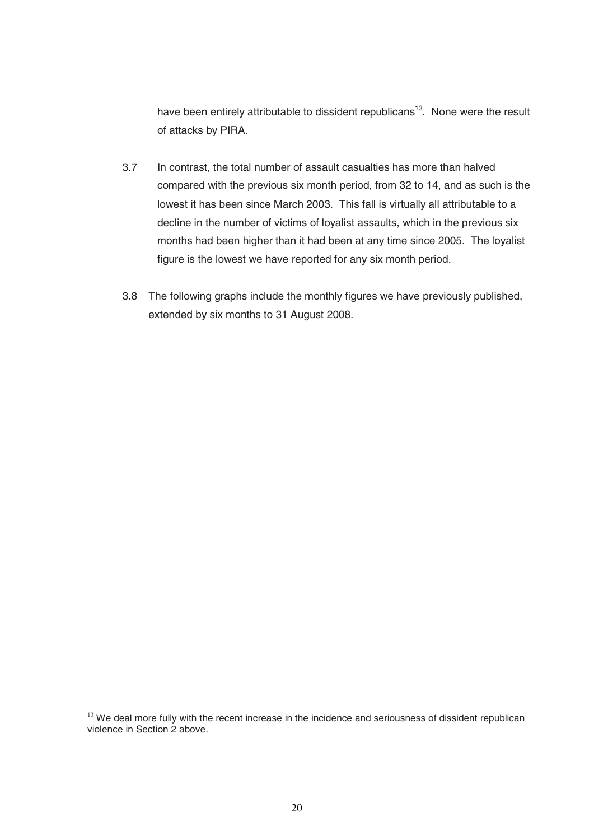have been entirely attributable to dissident republicans<sup>13</sup>. None were the result of attacks by PIRA.

- 3.7 In contrast, the total number of assault casualties has more than halved compared with the previous six month period, from 32 to 14, and as such is the lowest it has been since March 2003. This fall is virtually all attributable to a decline in the number of victims of loyalist assaults, which in the previous six months had been higher than it had been at any time since 2005. The loyalist figure is the lowest we have reported for any six month period.
- 3.8 The following graphs include the monthly figures we have previously published, extended by six months to 31 August 2008.

-

 $13$  We deal more fully with the recent increase in the incidence and seriousness of dissident republican violence in Section 2 above.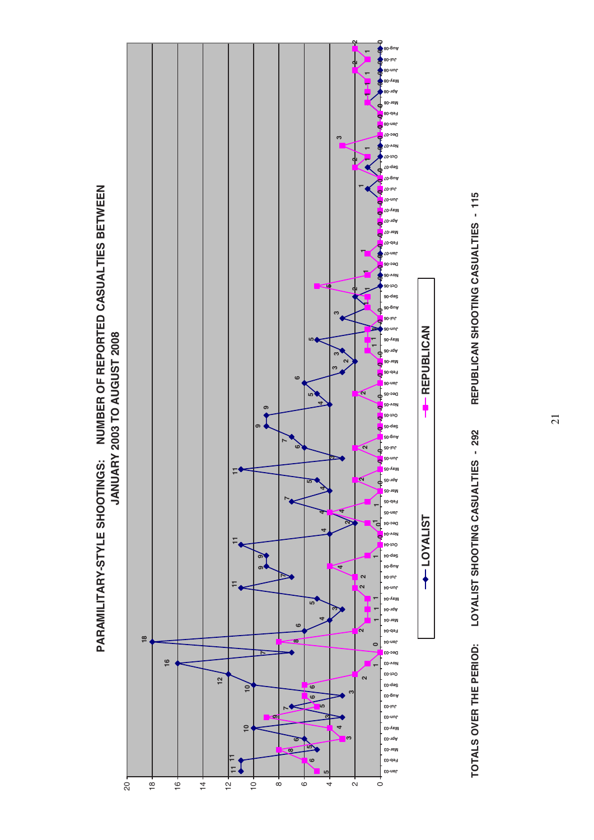



**LOYALIST REPUBLICAN**

**TOYALIST** 

**A** - REPUBLICAN

**TOTALS OVER THE PERIOD: LOYALIST SHOOTING CASUALTIES - 292 REPUBLICAN SHOOTING CASUALTIES - 115** TOTALS OVER THE PERIOD: LOYALIST SHOOTING CASUALTIES - 292

REPUBLICAN SHOOTING CASUALTIES - 115

21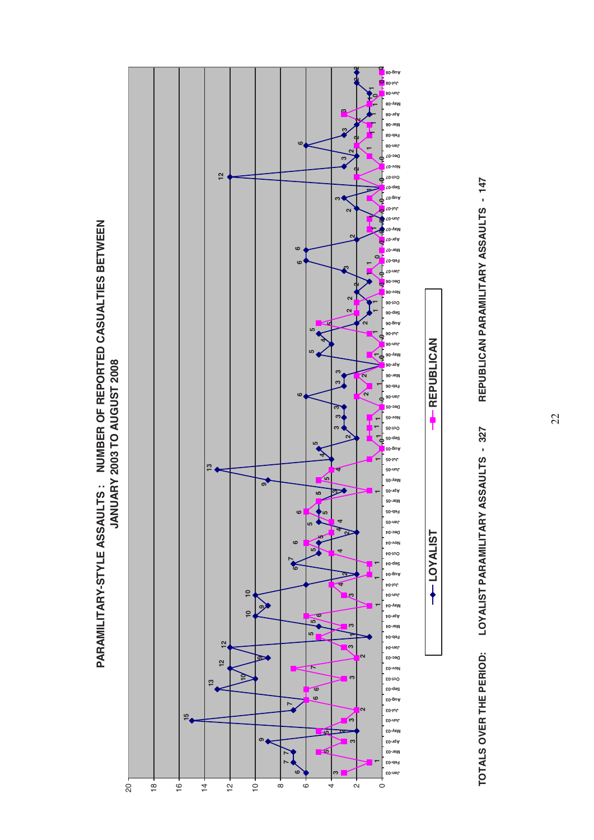





**TOTALS OVER THE PERIOD: LOYALIST PARAMILITARY ASSAULTS - 327 REPUBLICAN PARAMILITARY ASSAULTS - 147** TOTALS OVER THE PERIOD: LOYALIST PARAMILITARY ASSAULTS - 327

REPUBLICAN PARAMILITARY ASSAULTS - 147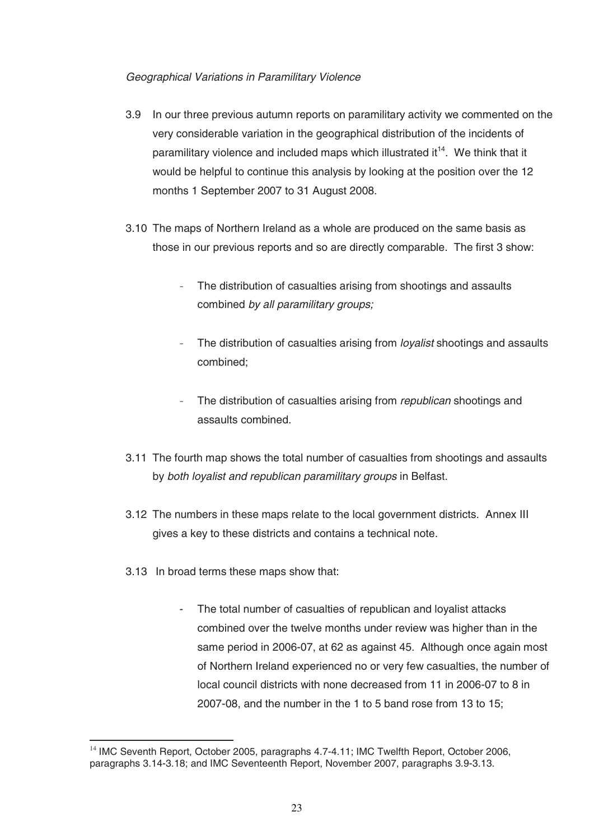#### Geographical Variations in Paramilitary Violence

- 3.9 In our three previous autumn reports on paramilitary activity we commented on the very considerable variation in the geographical distribution of the incidents of paramilitary violence and included maps which illustrated it<sup>14</sup>. We think that it would be helpful to continue this analysis by looking at the position over the 12 months 1 September 2007 to 31 August 2008.
- 3.10 The maps of Northern Ireland as a whole are produced on the same basis as those in our previous reports and so are directly comparable. The first 3 show:
	- The distribution of casualties arising from shootings and assaults combined by all paramilitary groups;
	- The distribution of casualties arising from *loyalist* shootings and assaults combined;
	- The distribution of casualties arising from *republican* shootings and assaults combined.
- 3.11 The fourth map shows the total number of casualties from shootings and assaults by both loyalist and republican paramilitary groups in Belfast.
- 3.12 The numbers in these maps relate to the local government districts. Annex III gives a key to these districts and contains a technical note.
- 3.13 In broad terms these maps show that:
	- The total number of casualties of republican and loyalist attacks combined over the twelve months under review was higher than in the same period in 2006-07, at 62 as against 45. Although once again most of Northern Ireland experienced no or very few casualties, the number of local council districts with none decreased from 11 in 2006-07 to 8 in 2007-08, and the number in the 1 to 5 band rose from 13 to 15;

<sup>-</sup><sup>14</sup> IMC Seventh Report, October 2005, paragraphs 4.7-4.11; IMC Twelfth Report, October 2006, paragraphs 3.14-3.18; and IMC Seventeenth Report, November 2007, paragraphs 3.9-3.13.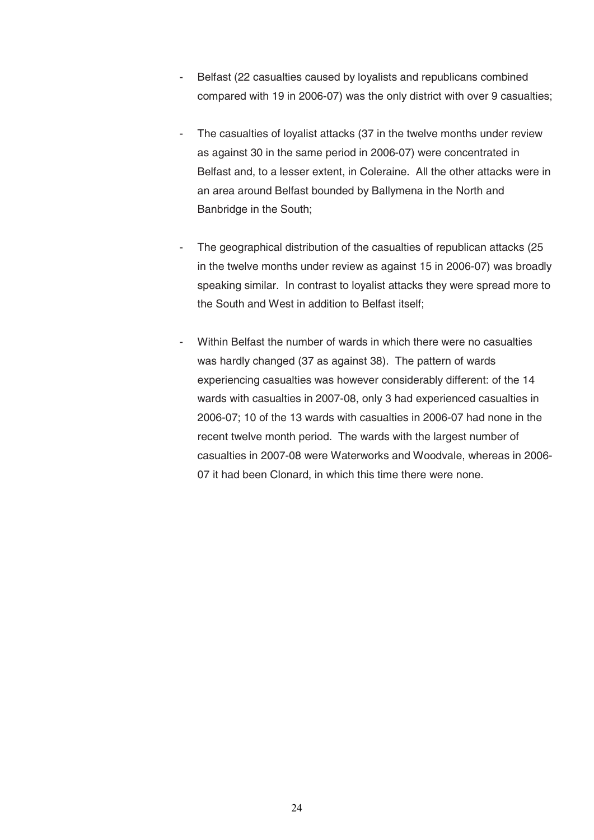- Belfast (22 casualties caused by loyalists and republicans combined compared with 19 in 2006-07) was the only district with over 9 casualties;
- The casualties of loyalist attacks (37 in the twelve months under review as against 30 in the same period in 2006-07) were concentrated in Belfast and, to a lesser extent, in Coleraine. All the other attacks were in an area around Belfast bounded by Ballymena in the North and Banbridge in the South;
- The geographical distribution of the casualties of republican attacks (25) in the twelve months under review as against 15 in 2006-07) was broadly speaking similar. In contrast to loyalist attacks they were spread more to the South and West in addition to Belfast itself;
- Within Belfast the number of wards in which there were no casualties was hardly changed (37 as against 38). The pattern of wards experiencing casualties was however considerably different: of the 14 wards with casualties in 2007-08, only 3 had experienced casualties in 2006-07; 10 of the 13 wards with casualties in 2006-07 had none in the recent twelve month period. The wards with the largest number of casualties in 2007-08 were Waterworks and Woodvale, whereas in 2006- 07 it had been Clonard, in which this time there were none.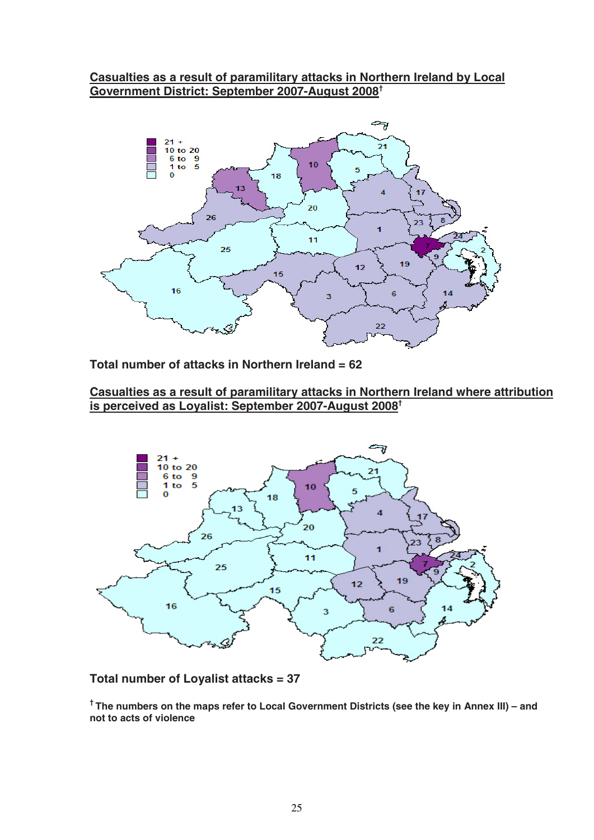# **Casualties as a result of paramilitary attacks in Northern Ireland by Local Government District: September 2007-August 2008†**



**Total number of attacks in Northern Ireland = 62** 

**Casualties as a result of paramilitary attacks in Northern Ireland where attribution is perceived as Loyalist: September 2007-August 2008†**



#### **Total number of Loyalist attacks = 37**

**† The numbers on the maps refer to Local Government Districts (see the key in Annex III) – and not to acts of violence**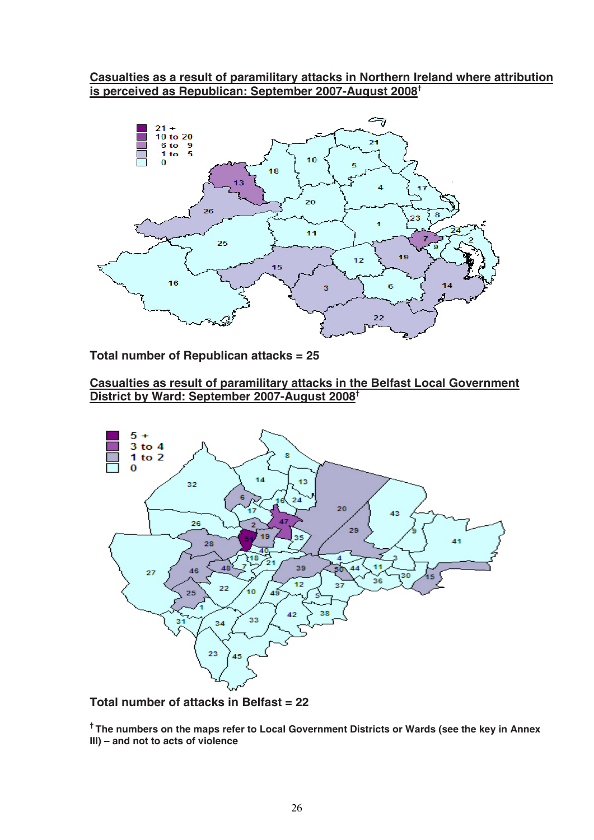# **Casualties as a result of paramilitary attacks in Northern Ireland where attribution is perceived as Republican: September 2007-August 2008†**



**Total number of Republican attacks = 25** 

# **Casualties as result of paramilitary attacks in the Belfast Local Government District by Ward: September 2007-August 2008†**



**Total number of attacks in Belfast = 22** 

**† The numbers on the maps refer to Local Government Districts or Wards (see the key in Annex III) – and not to acts of violence**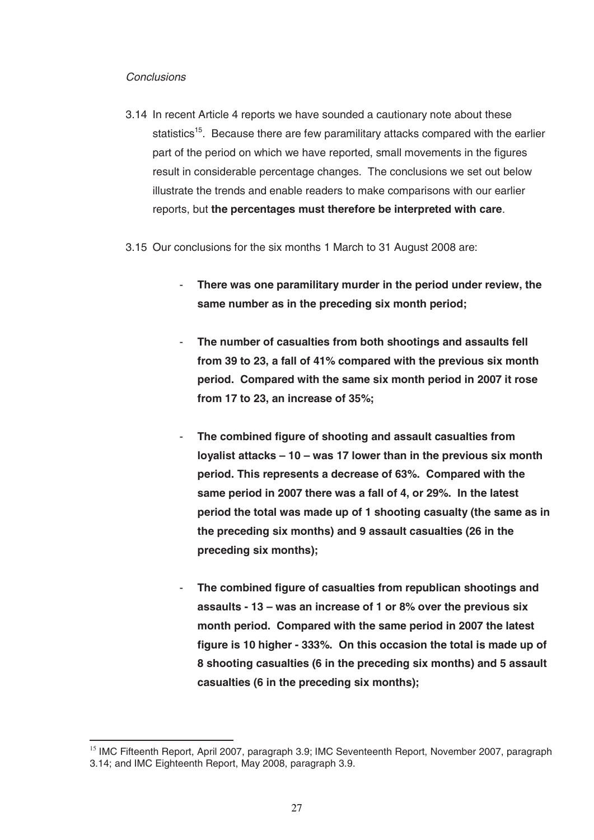#### **Conclusions**

-

- 3.14 In recent Article 4 reports we have sounded a cautionary note about these statistics<sup>15</sup>. Because there are few paramilitary attacks compared with the earlier part of the period on which we have reported, small movements in the figures result in considerable percentage changes. The conclusions we set out below illustrate the trends and enable readers to make comparisons with our earlier reports, but **the percentages must therefore be interpreted with care**.
- 3.15 Our conclusions for the six months 1 March to 31 August 2008 are:
	- **There was one paramilitary murder in the period under review, the same number as in the preceding six month period;**
	- **The number of casualties from both shootings and assaults fell from 39 to 23, a fall of 41% compared with the previous six month period. Compared with the same six month period in 2007 it rose from 17 to 23, an increase of 35%;**
	- **The combined figure of shooting and assault casualties from loyalist attacks – 10 – was 17 lower than in the previous six month period. This represents a decrease of 63%. Compared with the same period in 2007 there was a fall of 4, or 29%. In the latest period the total was made up of 1 shooting casualty (the same as in the preceding six months) and 9 assault casualties (26 in the preceding six months);**
	- **The combined figure of casualties from republican shootings and assaults - 13 – was an increase of 1 or 8% over the previous six month period. Compared with the same period in 2007 the latest figure is 10 higher - 333%. On this occasion the total is made up of 8 shooting casualties (6 in the preceding six months) and 5 assault casualties (6 in the preceding six months);**

<sup>&</sup>lt;sup>15</sup> IMC Fifteenth Report, April 2007, paragraph 3.9; IMC Seventeenth Report, November 2007, paragraph 3.14; and IMC Eighteenth Report, May 2008, paragraph 3.9.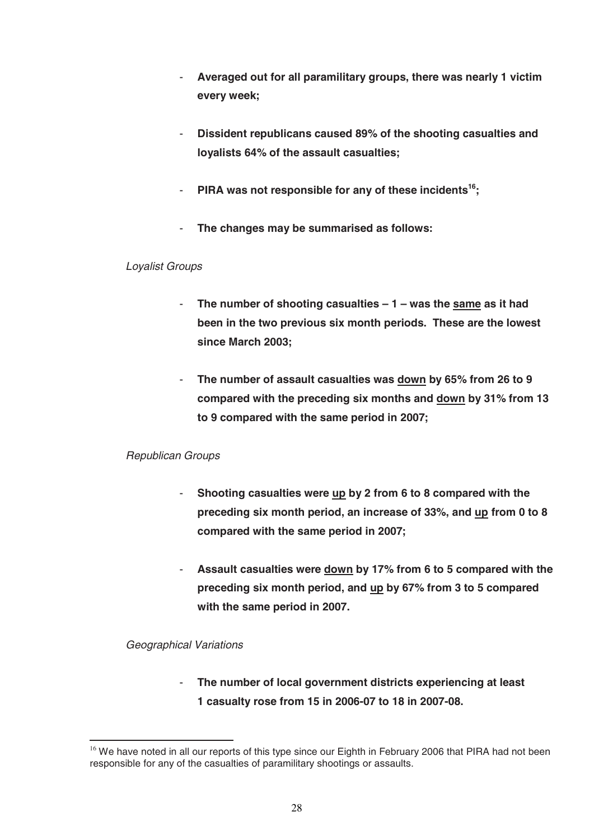- **Averaged out for all paramilitary groups, there was nearly 1 victim every week;**
- **Dissident republicans caused 89% of the shooting casualties and loyalists 64% of the assault casualties;**
- **PIRA was not responsible for any of these incidents<sup>16</sup>;**
- **The changes may be summarised as follows:**

#### Loyalist Groups

- **The number of shooting casualties 1 was the same as it had been in the two previous six month periods. These are the lowest since March 2003;**
- **The number of assault casualties was down by 65% from 26 to 9 compared with the preceding six months and down by 31% from 13 to 9 compared with the same period in 2007;**

## Republican Groups

- **Shooting casualties were up by 2 from 6 to 8 compared with the preceding six month period, an increase of 33%, and up from 0 to 8 compared with the same period in 2007;**
- **Assault casualties were down by 17% from 6 to 5 compared with the preceding six month period, and up by 67% from 3 to 5 compared with the same period in 2007.**

## Geographical Variations

-

- **The number of local government districts experiencing at least 1 casualty rose from 15 in 2006-07 to 18 in 2007-08.** 

<sup>&</sup>lt;sup>16</sup> We have noted in all our reports of this type since our Eighth in February 2006 that PIRA had not been responsible for any of the casualties of paramilitary shootings or assaults.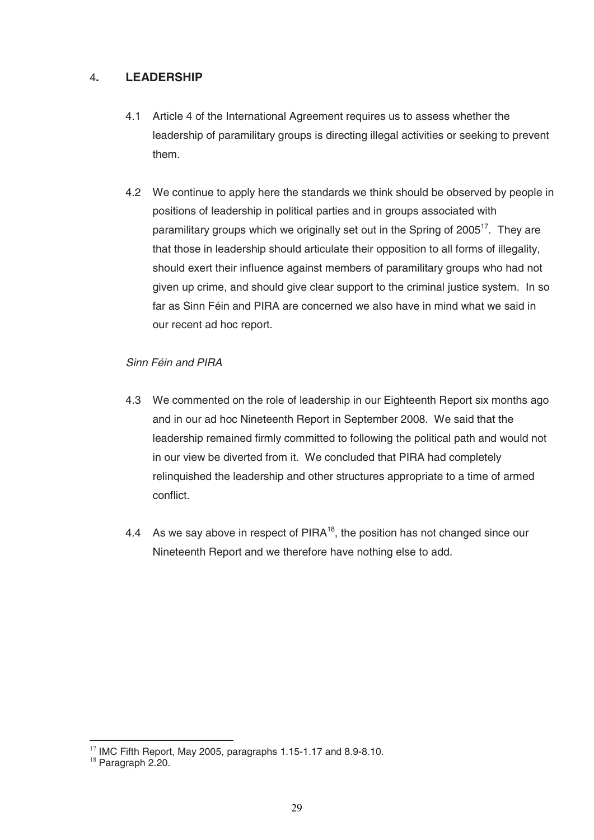# 4**. LEADERSHIP**

- 4.1 Article 4 of the International Agreement requires us to assess whether the leadership of paramilitary groups is directing illegal activities or seeking to prevent them.
- 4.2 We continue to apply here the standards we think should be observed by people in positions of leadership in political parties and in groups associated with paramilitary groups which we originally set out in the Spring of 2005<sup>17</sup>. They are that those in leadership should articulate their opposition to all forms of illegality, should exert their influence against members of paramilitary groups who had not given up crime, and should give clear support to the criminal justice system. In so far as Sinn Féin and PIRA are concerned we also have in mind what we said in our recent ad hoc report.

## Sinn Féin and PIRA

- 4.3 We commented on the role of leadership in our Eighteenth Report six months ago and in our ad hoc Nineteenth Report in September 2008. We said that the leadership remained firmly committed to following the political path and would not in our view be diverted from it. We concluded that PIRA had completely relinquished the leadership and other structures appropriate to a time of armed conflict.
- 4.4 As we say above in respect of  $PIRA^{18}$ , the position has not changed since our Nineteenth Report and we therefore have nothing else to add.

-

<sup>&</sup>lt;sup>17</sup> IMC Fifth Report, May 2005, paragraphs 1.15-1.17 and 8.9-8.10.<br><sup>18</sup> Paragraph 2.20.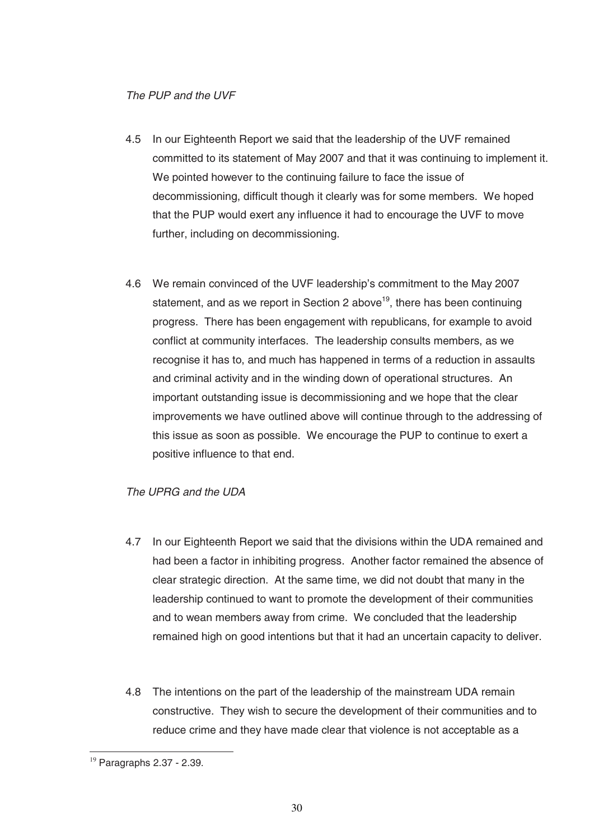#### The PUP and the UVF

- 4.5 In our Eighteenth Report we said that the leadership of the UVF remained committed to its statement of May 2007 and that it was continuing to implement it. We pointed however to the continuing failure to face the issue of decommissioning, difficult though it clearly was for some members. We hoped that the PUP would exert any influence it had to encourage the UVF to move further, including on decommissioning.
- 4.6 We remain convinced of the UVF leadership's commitment to the May 2007 statement, and as we report in Section 2 above<sup>19</sup>, there has been continuing progress. There has been engagement with republicans, for example to avoid conflict at community interfaces. The leadership consults members, as we recognise it has to, and much has happened in terms of a reduction in assaults and criminal activity and in the winding down of operational structures. An important outstanding issue is decommissioning and we hope that the clear improvements we have outlined above will continue through to the addressing of this issue as soon as possible. We encourage the PUP to continue to exert a positive influence to that end.

#### The UPRG and the UDA

- 4.7 In our Eighteenth Report we said that the divisions within the UDA remained and had been a factor in inhibiting progress. Another factor remained the absence of clear strategic direction. At the same time, we did not doubt that many in the leadership continued to want to promote the development of their communities and to wean members away from crime. We concluded that the leadership remained high on good intentions but that it had an uncertain capacity to deliver.
- 4.8 The intentions on the part of the leadership of the mainstream UDA remain constructive. They wish to secure the development of their communities and to reduce crime and they have made clear that violence is not acceptable as a

<sup>-</sup> $19$  Paragraphs 2.37 - 2.39.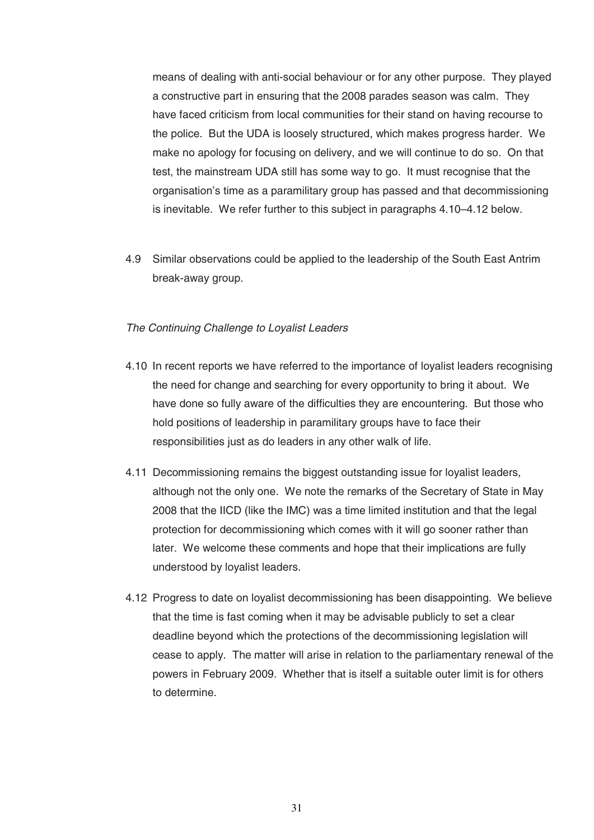means of dealing with anti-social behaviour or for any other purpose. They played a constructive part in ensuring that the 2008 parades season was calm. They have faced criticism from local communities for their stand on having recourse to the police. But the UDA is loosely structured, which makes progress harder. We make no apology for focusing on delivery, and we will continue to do so. On that test, the mainstream UDA still has some way to go. It must recognise that the organisation's time as a paramilitary group has passed and that decommissioning is inevitable. We refer further to this subject in paragraphs 4.10–4.12 below.

4.9 Similar observations could be applied to the leadership of the South East Antrim break-away group.

#### The Continuing Challenge to Loyalist Leaders

- 4.10 In recent reports we have referred to the importance of loyalist leaders recognising the need for change and searching for every opportunity to bring it about. We have done so fully aware of the difficulties they are encountering. But those who hold positions of leadership in paramilitary groups have to face their responsibilities just as do leaders in any other walk of life.
- 4.11 Decommissioning remains the biggest outstanding issue for loyalist leaders, although not the only one. We note the remarks of the Secretary of State in May 2008 that the IICD (like the IMC) was a time limited institution and that the legal protection for decommissioning which comes with it will go sooner rather than later. We welcome these comments and hope that their implications are fully understood by loyalist leaders.
- 4.12 Progress to date on loyalist decommissioning has been disappointing. We believe that the time is fast coming when it may be advisable publicly to set a clear deadline beyond which the protections of the decommissioning legislation will cease to apply. The matter will arise in relation to the parliamentary renewal of the powers in February 2009. Whether that is itself a suitable outer limit is for others to determine.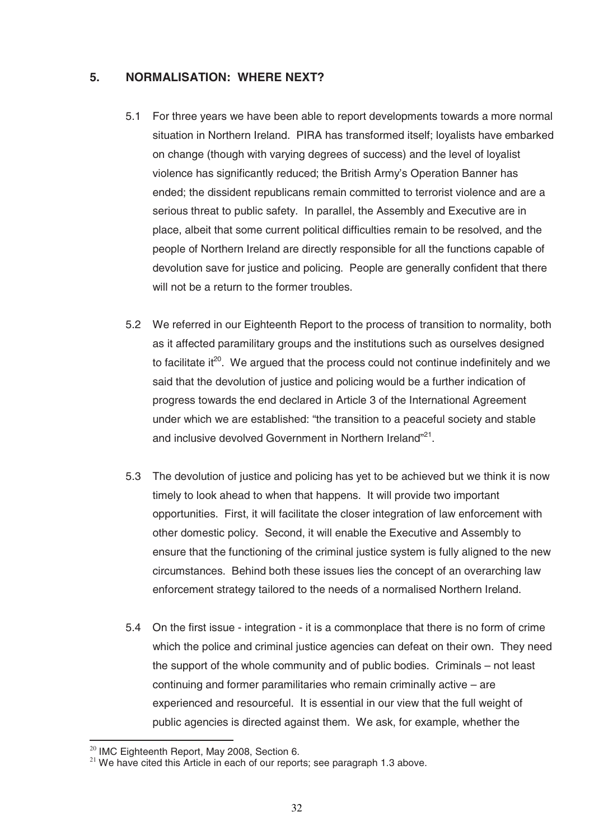#### **5. NORMALISATION: WHERE NEXT?**

- 5.1 For three years we have been able to report developments towards a more normal situation in Northern Ireland. PIRA has transformed itself; loyalists have embarked on change (though with varying degrees of success) and the level of loyalist violence has significantly reduced; the British Army's Operation Banner has ended; the dissident republicans remain committed to terrorist violence and are a serious threat to public safety. In parallel, the Assembly and Executive are in place, albeit that some current political difficulties remain to be resolved, and the people of Northern Ireland are directly responsible for all the functions capable of devolution save for justice and policing. People are generally confident that there will not be a return to the former troubles.
- 5.2 We referred in our Eighteenth Report to the process of transition to normality, both as it affected paramilitary groups and the institutions such as ourselves designed to facilitate it $20$ . We argued that the process could not continue indefinitely and we said that the devolution of justice and policing would be a further indication of progress towards the end declared in Article 3 of the International Agreement under which we are established: "the transition to a peaceful society and stable and inclusive devolved Government in Northern Ireland"<sup>21</sup>.
- 5.3 The devolution of justice and policing has yet to be achieved but we think it is now timely to look ahead to when that happens. It will provide two important opportunities. First, it will facilitate the closer integration of law enforcement with other domestic policy. Second, it will enable the Executive and Assembly to ensure that the functioning of the criminal justice system is fully aligned to the new circumstances. Behind both these issues lies the concept of an overarching law enforcement strategy tailored to the needs of a normalised Northern Ireland.
- 5.4 On the first issue integration it is a commonplace that there is no form of crime which the police and criminal justice agencies can defeat on their own. They need the support of the whole community and of public bodies. Criminals – not least continuing and former paramilitaries who remain criminally active – are experienced and resourceful. It is essential in our view that the full weight of public agencies is directed against them. We ask, for example, whether the

<sup>&</sup>lt;sup>20</sup> IMC Eighteenth Report, May 2008, Section 6.

 $21$  We have cited this Article in each of our reports; see paragraph 1.3 above.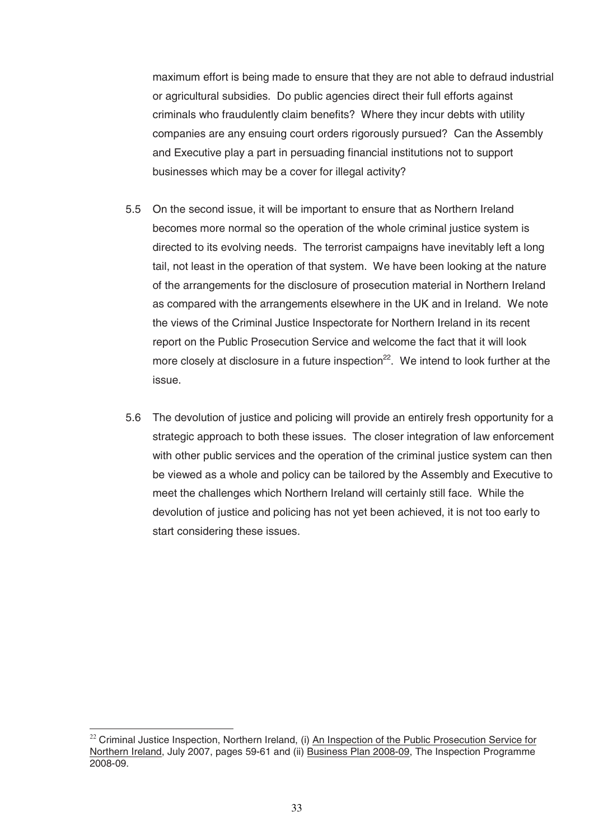maximum effort is being made to ensure that they are not able to defraud industrial or agricultural subsidies. Do public agencies direct their full efforts against criminals who fraudulently claim benefits? Where they incur debts with utility companies are any ensuing court orders rigorously pursued? Can the Assembly and Executive play a part in persuading financial institutions not to support businesses which may be a cover for illegal activity?

- 5.5 On the second issue, it will be important to ensure that as Northern Ireland becomes more normal so the operation of the whole criminal justice system is directed to its evolving needs. The terrorist campaigns have inevitably left a long tail, not least in the operation of that system. We have been looking at the nature of the arrangements for the disclosure of prosecution material in Northern Ireland as compared with the arrangements elsewhere in the UK and in Ireland. We note the views of the Criminal Justice Inspectorate for Northern Ireland in its recent report on the Public Prosecution Service and welcome the fact that it will look more closely at disclosure in a future inspection $^{22}$ . We intend to look further at the issue.
- 5.6 The devolution of justice and policing will provide an entirely fresh opportunity for a strategic approach to both these issues. The closer integration of law enforcement with other public services and the operation of the criminal justice system can then be viewed as a whole and policy can be tailored by the Assembly and Executive to meet the challenges which Northern Ireland will certainly still face. While the devolution of justice and policing has not yet been achieved, it is not too early to start considering these issues.

 $\overline{a}$ 

 $22$  Criminal Justice Inspection, Northern Ireland, (i) An Inspection of the Public Prosecution Service for Northern Ireland, July 2007, pages 59-61 and (ii) Business Plan 2008-09, The Inspection Programme 2008-09.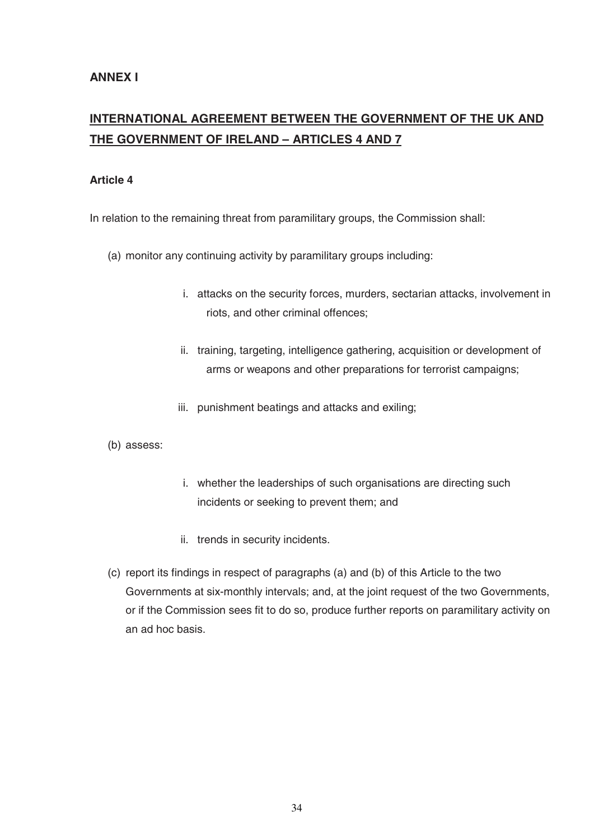# **INTERNATIONAL AGREEMENT BETWEEN THE GOVERNMENT OF THE UK AND THE GOVERNMENT OF IRELAND – ARTICLES 4 AND 7**

#### **Article 4**

In relation to the remaining threat from paramilitary groups, the Commission shall:

- (a) monitor any continuing activity by paramilitary groups including:
	- i. attacks on the security forces, murders, sectarian attacks, involvement in riots, and other criminal offences;
	- ii. training, targeting, intelligence gathering, acquisition or development of arms or weapons and other preparations for terrorist campaigns;
	- iii. punishment beatings and attacks and exiling;
- (b) assess:
- i. whether the leaderships of such organisations are directing such incidents or seeking to prevent them; and
- ii. trends in security incidents.
- (c) report its findings in respect of paragraphs (a) and (b) of this Article to the two Governments at six-monthly intervals; and, at the joint request of the two Governments, or if the Commission sees fit to do so, produce further reports on paramilitary activity on an ad hoc basis.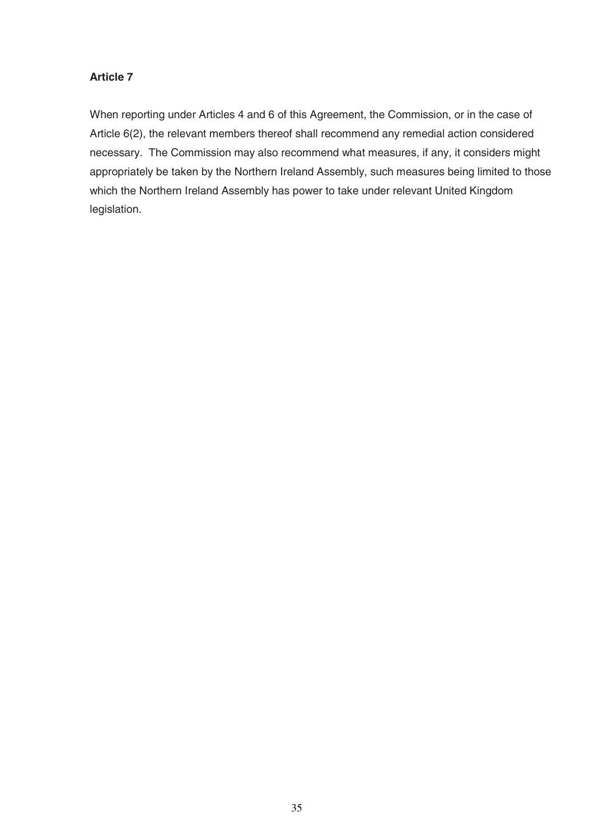# **Article 7**

When reporting under Articles 4 and 6 of this Agreement, the Commission, or in the case of Article 6(2), the relevant members thereof shall recommend any remedial action considered necessary. The Commission may also recommend what measures, if any, it considers might appropriately be taken by the Northern Ireland Assembly, such measures being limited to those which the Northern Ireland Assembly has power to take under relevant United Kingdom legislation.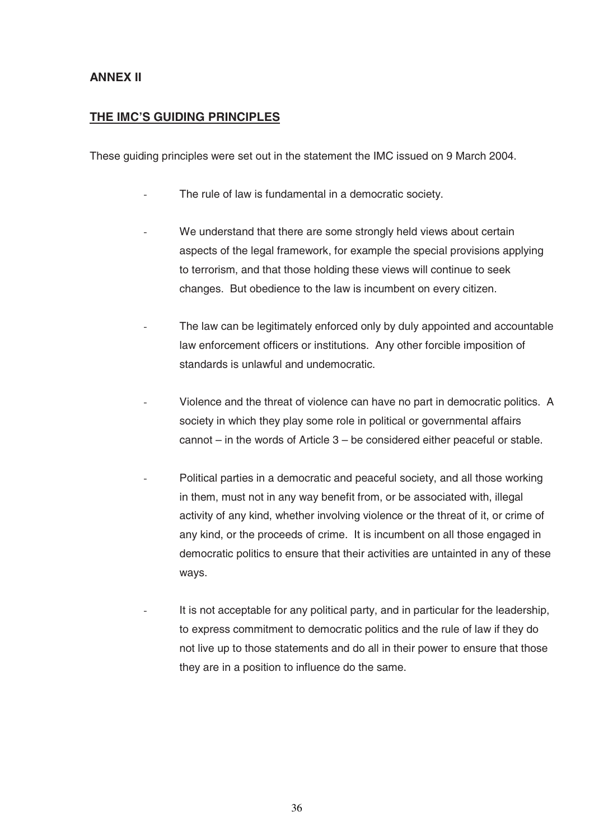# **ANNEX II**

# **THE IMC'S GUIDING PRINCIPLES**

These guiding principles were set out in the statement the IMC issued on 9 March 2004.

- The rule of law is fundamental in a democratic society.
- We understand that there are some strongly held views about certain aspects of the legal framework, for example the special provisions applying to terrorism, and that those holding these views will continue to seek changes. But obedience to the law is incumbent on every citizen.
- The law can be legitimately enforced only by duly appointed and accountable law enforcement officers or institutions. Any other forcible imposition of standards is unlawful and undemocratic.
- Violence and the threat of violence can have no part in democratic politics. A society in which they play some role in political or governmental affairs cannot – in the words of Article 3 – be considered either peaceful or stable.
- Political parties in a democratic and peaceful society, and all those working in them, must not in any way benefit from, or be associated with, illegal activity of any kind, whether involving violence or the threat of it, or crime of any kind, or the proceeds of crime. It is incumbent on all those engaged in democratic politics to ensure that their activities are untainted in any of these ways.
- It is not acceptable for any political party, and in particular for the leadership, to express commitment to democratic politics and the rule of law if they do not live up to those statements and do all in their power to ensure that those they are in a position to influence do the same.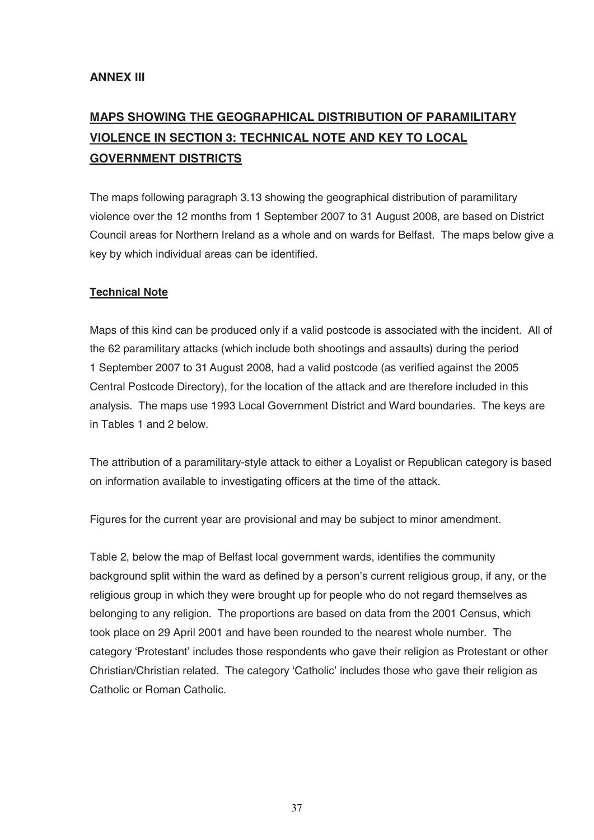# **MAPS SHOWING THE GEOGRAPHICAL DISTRIBUTION OF PARAMILITARY VIOLENCE IN SECTION 3: TECHNICAL NOTE AND KEY TO LOCAL GOVERNMENT DISTRICTS**

The maps following paragraph 3.13 showing the geographical distribution of paramilitary violence over the 12 months from 1 September 2007 to 31 August 2008, are based on District Council areas for Northern Ireland as a whole and on wards for Belfast. The maps below give a key by which individual areas can be identified.

# **Technical Note**

Maps of this kind can be produced only if a valid postcode is associated with the incident. All of the 62 paramilitary attacks (which include both shootings and assaults) during the period 1 September 2007 to 31August 2008, had a valid postcode (as verified against the 2005 Central Postcode Directory), for the location of the attack and are therefore included in this analysis. The maps use 1993 Local Government District and Ward boundaries. The keys are in Tables 1 and 2 below.

The attribution of a paramilitary-style attack to either a Loyalist or Republican category is based on information available to investigating officers at the time of the attack.

Figures for the current year are provisional and may be subject to minor amendment.

Table 2, below the map of Belfast local government wards, identifies the community background split within the ward as defined by a person's current religious group, if any, or the religious group in which they were brought up for people who do not regard themselves as belonging to any religion. The proportions are based on data from the 2001 Census, which took place on 29 April 2001 and have been rounded to the nearest whole number. The category 'Protestant' includes those respondents who gave their religion as Protestant or other Christian/Christian related. The category 'Catholic' includes those who gave their religion as Catholic or Roman Catholic.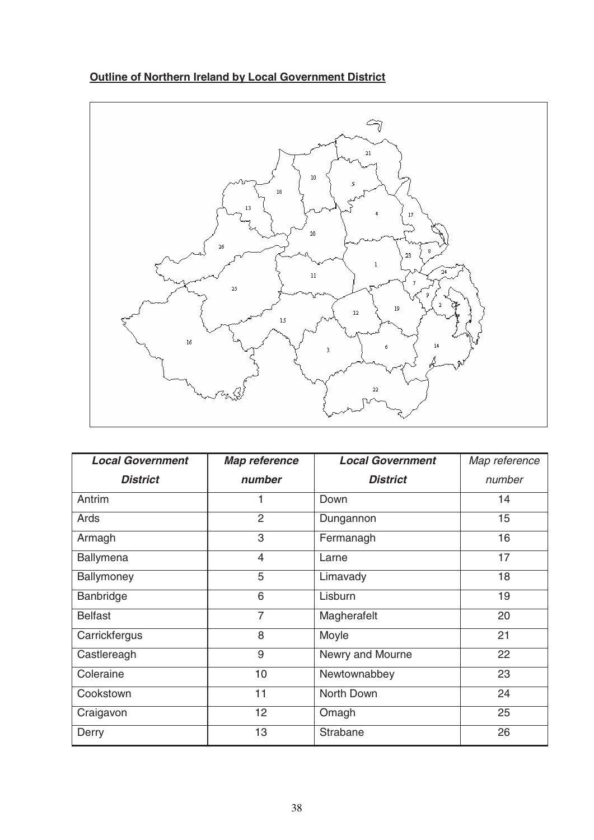# **Outline of Northern Ireland by Local Government District**



| <b>Local Government</b> | <b>Map reference</b> | <b>Local Government</b> | Map reference |
|-------------------------|----------------------|-------------------------|---------------|
| <b>District</b>         | number               | <b>District</b>         | number        |
| Antrim                  |                      | Down                    | 14            |
| Ards                    | $\overline{2}$       | Dungannon               | 15            |
| Armagh                  | 3                    | Fermanagh               | 16            |
| Ballymena               | $\overline{4}$       | Larne                   | 17            |
| Ballymoney              | 5                    | Limavady                | 18            |
| Banbridge               | 6                    | Lisburn                 | 19            |
| <b>Belfast</b>          | $\overline{7}$       | Magherafelt             | 20            |
| Carrickfergus           | 8                    | Moyle                   | 21            |
| Castlereagh             | 9                    | Newry and Mourne        | 22            |
| Coleraine               | 10                   | Newtownabbey            | 23            |
| Cookstown               | 11                   | North Down              | 24            |
| Craigavon               | 12                   | Omagh                   | 25            |
| Derry                   | 13                   | Strabane                | 26            |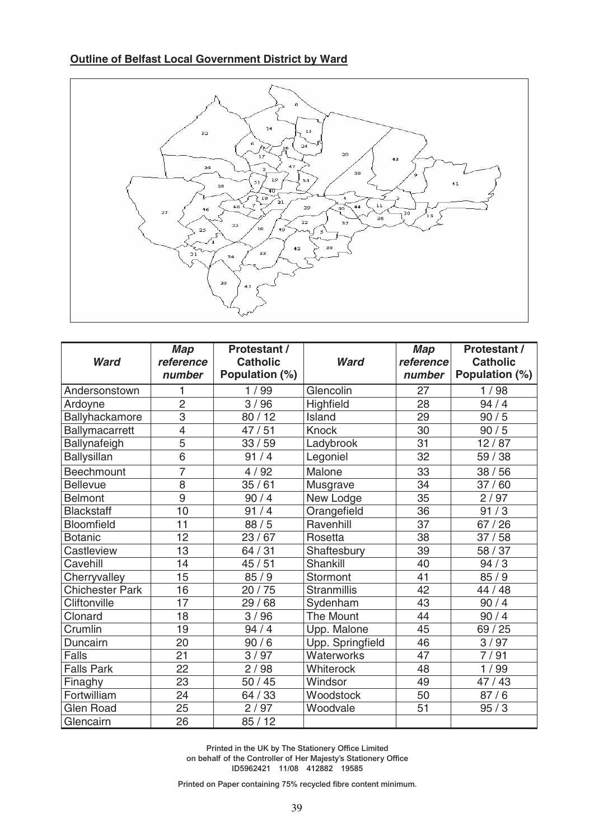# **Outline of Belfast Local Government District by Ward**



| <b>Ward</b>            | <b>Map</b><br>reference<br>number | <b>Protestant /</b><br><b>Catholic</b><br>Population (%) | <b>Ward</b>        | Map<br>reference<br>number | <b>Protestant /</b><br><b>Catholic</b><br>Population (%) |
|------------------------|-----------------------------------|----------------------------------------------------------|--------------------|----------------------------|----------------------------------------------------------|
| Andersonstown          | 1                                 | 1/99                                                     | Glencolin          | 27                         | 1/98                                                     |
| Ardoyne                | $\overline{2}$                    | 3/96                                                     | Highfield          | 28                         | 94/4                                                     |
| Ballyhackamore         | $\overline{3}$                    | 80/12                                                    | Island             | 29                         | 90/5                                                     |
| Ballymacarrett         | $\overline{4}$                    | 47/51                                                    | <b>Knock</b>       | 30                         | 90/5                                                     |
| Ballynafeigh           | $\overline{5}$                    | 33/59                                                    | Ladybrook          | 31                         | 12/87                                                    |
| <b>Ballysillan</b>     | $\overline{6}$                    | 91/4                                                     | Legoniel           | 32                         | 59 / 38                                                  |
|                        |                                   |                                                          |                    |                            |                                                          |
| Beechmount             | $\overline{7}$                    | 4/92                                                     | Malone             | 33                         | 38/56                                                    |
| <b>Bellevue</b>        | 8                                 | 35/61                                                    | Musgrave           | 34                         | 37/60                                                    |
| <b>Belmont</b>         | $\overline{9}$                    | 90/4                                                     | New Lodge          | 35                         | 2/97                                                     |
| <b>Blackstaff</b>      | 10                                | 91/4                                                     | Orangefield        | 36                         | 91/3                                                     |
| <b>Bloomfield</b>      | 11                                | 88/5                                                     | Ravenhill          | $\overline{37}$            | 67/26                                                    |
| <b>Botanic</b>         | 12                                | 23/67                                                    | Rosetta            | 38                         | 37/58                                                    |
| Castleview             | 13                                | 64/31                                                    | Shaftesbury        | 39                         | 58 / 37                                                  |
| Cavehill               | 14                                | 45/51                                                    | Shankill           | 40                         | 94/3                                                     |
| Cherryvalley           | 15                                | 85/9                                                     | Stormont           | 41                         | 85/9                                                     |
| <b>Chichester Park</b> | 16                                | 20/75                                                    | <b>Stranmillis</b> | 42                         | 44 / 48                                                  |
| Cliftonville           | 17                                | 68<br>29/                                                | Sydenham           | 43                         | 90/4                                                     |
| Clonard                | 18                                | 3/96                                                     | <b>The Mount</b>   | 44                         | 90/4                                                     |
| Crumlin                | 19                                | 94/4                                                     | Upp. Malone        | 45                         | 69 / 25                                                  |
| Duncairn               | 20                                | 90/6                                                     | Upp. Springfield   | 46                         | 3/97                                                     |
| <b>Falls</b>           | 21                                | 3/97                                                     | Waterworks         | 47                         | 7/91                                                     |
| <b>Falls Park</b>      | 22                                | 2/98                                                     | Whiterock          | 48                         | 1/99                                                     |
| Finaghy                | 23                                | 50/45                                                    | Windsor            | 49                         | 47/43                                                    |
| Fortwilliam            | 24                                | 64 / 33                                                  | Woodstock          | 50                         | 87/6                                                     |
| <b>Glen Road</b>       | 25                                | 2/97                                                     | Woodvale           | 51                         | 95/3                                                     |
| Glencairn              | 26                                | 85/12                                                    |                    |                            |                                                          |

**Printed in the UK by The Stationery Office Limited on behalf of the Controller of Her Majesty's Stationery Office ID5962421 11/08 412882 19585**

**Printed on Paper containing 75% recycled fibre content minimum.**